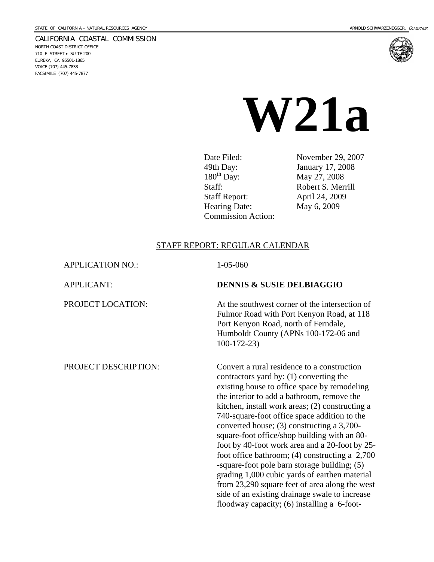#### CALIFORNIA COASTAL COMMISSION

NORTH COAST DISTRICT OFFICE 710 E STREET • SUITE 200 EUREKA, CA 95501-1865 VOICE (707) 445-7833 FACSIMILE (707) 445-7877





 **W21a**

Date Filed: November 29, 2007

49th Day: January 17, 2008<br>180<sup>th</sup> Day: May 27, 2008

Hearing Date:May 6, 2009 Commission Action:

Staff: Robert S. Merrill Staff Report: April 24, 2009

May 27, 2008

#### STAFF REPORT: REGULAR CALENDAR

APPLICATION NO.: 1-05-060

APPLICANT: **DENNIS & SUSIE DELBIAGGIO** 

PROJECT LOCATION: At the southwest corner of the intersection of Fulmor Road with Port Kenyon Road, at 118 Port Kenyon Road, north of Ferndale, Humboldt County (APNs 100-172-06 and 100-172-23)

PROJECT DESCRIPTION: Convert a rural residence to a construction contractors yard by: (1) converting the existing house to office space by remodeling the interior to add a bathroom, remove the kitchen, install work areas; (2) constructing a 740-square-foot office space addition to the converted house; (3) constructing a 3,700 square-foot office/shop building with an 80 foot by 40-foot work area and a 20-foot by 25 foot office bathroom; (4) constructing a 2,700 -square-foot pole barn storage building; (5) grading 1,000 cubic yards of earthen material from 23,290 square feet of area along the west side of an existing drainage swale to increase floodway capacity; (6) installing a 6-foot-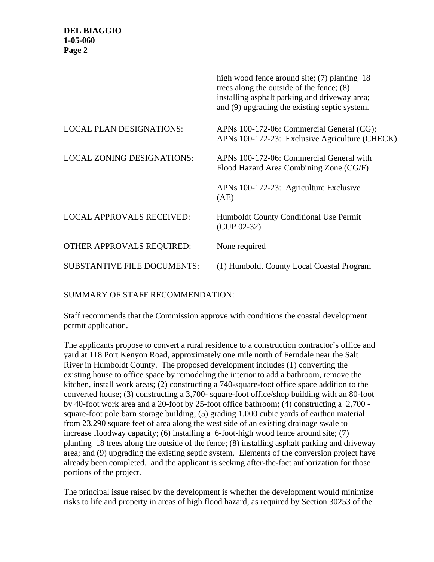|                                    | high wood fence around site; (7) planting 18<br>trees along the outside of the fence; $(8)$<br>installing asphalt parking and driveway area;<br>and (9) upgrading the existing septic system. |
|------------------------------------|-----------------------------------------------------------------------------------------------------------------------------------------------------------------------------------------------|
| <b>LOCAL PLAN DESIGNATIONS:</b>    | APNs 100-172-06: Commercial General (CG);<br>APNs 100-172-23: Exclusive Agriculture (CHECK)                                                                                                   |
| <b>LOCAL ZONING DESIGNATIONS:</b>  | APNs 100-172-06: Commercial General with<br>Flood Hazard Area Combining Zone (CG/F)                                                                                                           |
|                                    | APNs 100-172-23: Agriculture Exclusive<br>(AE)                                                                                                                                                |
| <b>LOCAL APPROVALS RECEIVED:</b>   | Humboldt County Conditional Use Permit<br>$(CUP 02-32)$                                                                                                                                       |
| <b>OTHER APPROVALS REQUIRED:</b>   | None required                                                                                                                                                                                 |
| <b>SUBSTANTIVE FILE DOCUMENTS:</b> | (1) Humboldt County Local Coastal Program                                                                                                                                                     |

## SUMMARY OF STAFF RECOMMENDATION:

Staff recommends that the Commission approve with conditions the coastal development permit application.

The applicants propose to convert a rural residence to a construction contractor's office and yard at 118 Port Kenyon Road, approximately one mile north of Ferndale near the Salt River in Humboldt County. The proposed development includes (1) converting the existing house to office space by remodeling the interior to add a bathroom, remove the kitchen, install work areas; (2) constructing a 740-square-foot office space addition to the converted house; (3) constructing a 3,700- square-foot office/shop building with an 80-foot by 40-foot work area and a 20-foot by 25-foot office bathroom; (4) constructing a 2,700 square-foot pole barn storage building; (5) grading 1,000 cubic yards of earthen material from 23,290 square feet of area along the west side of an existing drainage swale to increase floodway capacity; (6) installing a 6-foot-high wood fence around site; (7) planting 18 trees along the outside of the fence; (8) installing asphalt parking and driveway area; and (9) upgrading the existing septic system. Elements of the conversion project have already been completed, and the applicant is seeking after-the-fact authorization for those portions of the project.

The principal issue raised by the development is whether the development would minimize risks to life and property in areas of high flood hazard, as required by Section 30253 of the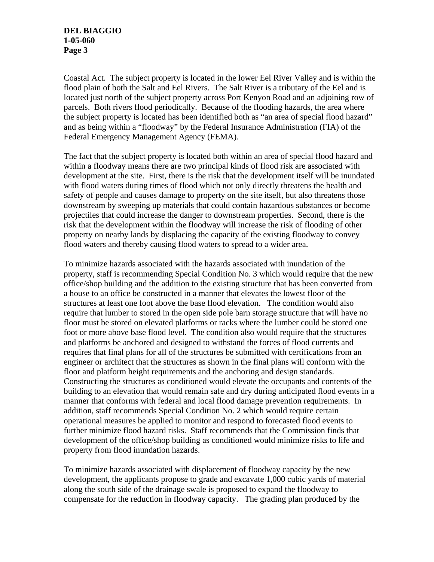Coastal Act. The subject property is located in the lower Eel River Valley and is within the flood plain of both the Salt and Eel Rivers. The Salt River is a tributary of the Eel and is located just north of the subject property across Port Kenyon Road and an adjoining row of parcels. Both rivers flood periodically. Because of the flooding hazards, the area where the subject property is located has been identified both as "an area of special flood hazard" and as being within a "floodway" by the Federal Insurance Administration (FIA) of the Federal Emergency Management Agency (FEMA).

The fact that the subject property is located both within an area of special flood hazard and within a floodway means there are two principal kinds of flood risk are associated with development at the site. First, there is the risk that the development itself will be inundated with flood waters during times of flood which not only directly threatens the health and safety of people and causes damage to property on the site itself, but also threatens those downstream by sweeping up materials that could contain hazardous substances or become projectiles that could increase the danger to downstream properties. Second, there is the risk that the development within the floodway will increase the risk of flooding of other property on nearby lands by displacing the capacity of the existing floodway to convey flood waters and thereby causing flood waters to spread to a wider area.

To minimize hazards associated with the hazards associated with inundation of the property, staff is recommending Special Condition No. 3 which would require that the new office/shop building and the addition to the existing structure that has been converted from a house to an office be constructed in a manner that elevates the lowest floor of the structures at least one foot above the base flood elevation. The condition would also require that lumber to stored in the open side pole barn storage structure that will have no floor must be stored on elevated platforms or racks where the lumber could be stored one foot or more above base flood level. The condition also would require that the structures and platforms be anchored and designed to withstand the forces of flood currents and requires that final plans for all of the structures be submitted with certifications from an engineer or architect that the structures as shown in the final plans will conform with the floor and platform height requirements and the anchoring and design standards. Constructing the structures as conditioned would elevate the occupants and contents of the building to an elevation that would remain safe and dry during anticipated flood events in a manner that conforms with federal and local flood damage prevention requirements. In addition, staff recommends Special Condition No. 2 which would require certain operational measures be applied to monitor and respond to forecasted flood events to further minimize flood hazard risks. Staff recommends that the Commission finds that development of the office/shop building as conditioned would minimize risks to life and property from flood inundation hazards.

To minimize hazards associated with displacement of floodway capacity by the new development, the applicants propose to grade and excavate 1,000 cubic yards of material along the south side of the drainage swale is proposed to expand the floodway to compensate for the reduction in floodway capacity. The grading plan produced by the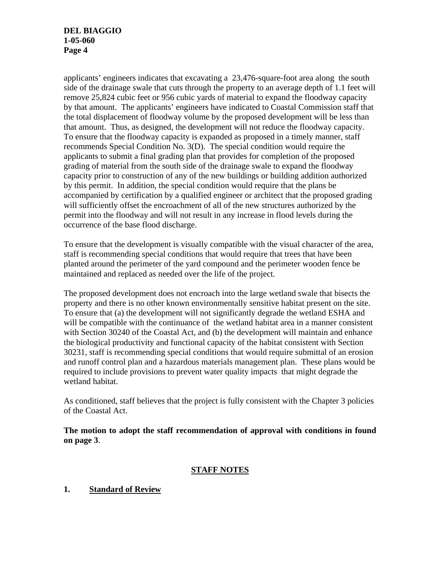applicants' engineers indicates that excavating a 23,476-square-foot area along the south side of the drainage swale that cuts through the property to an average depth of 1.1 feet will remove 25,824 cubic feet or 956 cubic yards of material to expand the floodway capacity by that amount. The applicants' engineers have indicated to Coastal Commission staff that the total displacement of floodway volume by the proposed development will be less than that amount. Thus, as designed, the development will not reduce the floodway capacity. To ensure that the floodway capacity is expanded as proposed in a timely manner, staff recommends Special Condition No. 3(D). The special condition would require the applicants to submit a final grading plan that provides for completion of the proposed grading of material from the south side of the drainage swale to expand the floodway capacity prior to construction of any of the new buildings or building addition authorized by this permit. In addition, the special condition would require that the plans be accompanied by certification by a qualified engineer or architect that the proposed grading will sufficiently offset the encroachment of all of the new structures authorized by the permit into the floodway and will not result in any increase in flood levels during the occurrence of the base flood discharge.

To ensure that the development is visually compatible with the visual character of the area, staff is recommending special conditions that would require that trees that have been planted around the perimeter of the yard compound and the perimeter wooden fence be maintained and replaced as needed over the life of the project.

The proposed development does not encroach into the large wetland swale that bisects the property and there is no other known environmentally sensitive habitat present on the site. To ensure that (a) the development will not significantly degrade the wetland ESHA and will be compatible with the continuance of the wetland habitat area in a manner consistent with Section 30240 of the Coastal Act, and (b) the development will maintain and enhance the biological productivity and functional capacity of the habitat consistent with Section 30231, staff is recommending special conditions that would require submittal of an erosion and runoff control plan and a hazardous materials management plan. These plans would be required to include provisions to prevent water quality impacts that might degrade the wetland habitat.

As conditioned, staff believes that the project is fully consistent with the Chapter 3 policies of the Coastal Act.

**The motion to adopt the staff recommendation of approval with conditions in found on page 3**.

## **STAFF NOTES**

## **1. Standard of Review**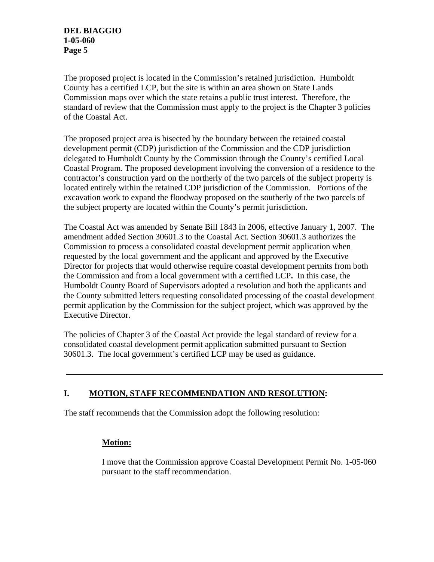The proposed project is located in the Commission's retained jurisdiction. Humboldt County has a certified LCP, but the site is within an area shown on State Lands Commission maps over which the state retains a public trust interest. Therefore, the standard of review that the Commission must apply to the project is the Chapter 3 policies of the Coastal Act.

The proposed project area is bisected by the boundary between the retained coastal development permit (CDP) jurisdiction of the Commission and the CDP jurisdiction delegated to Humboldt County by the Commission through the County's certified Local Coastal Program. The proposed development involving the conversion of a residence to the contractor's construction yard on the northerly of the two parcels of the subject property is located entirely within the retained CDP jurisdiction of the Commission. Portions of the excavation work to expand the floodway proposed on the southerly of the two parcels of the subject property are located within the County's permit jurisdiction.

The Coastal Act was amended by Senate Bill 1843 in 2006, effective January 1, 2007. The amendment added Section 30601.3 to the Coastal Act. Section 30601.3 authorizes the Commission to process a consolidated coastal development permit application when requested by the local government and the applicant and approved by the Executive Director for projects that would otherwise require coastal development permits from both the Commission and from a local government with a certified LCP**.** In this case, the Humboldt County Board of Supervisors adopted a resolution and both the applicants and the County submitted letters requesting consolidated processing of the coastal development permit application by the Commission for the subject project, which was approved by the Executive Director.

The policies of Chapter 3 of the Coastal Act provide the legal standard of review for a consolidated coastal development permit application submitted pursuant to Section 30601.3. The local government's certified LCP may be used as guidance.

## **I. MOTION, STAFF RECOMMENDATION AND RESOLUTION:**

The staff recommends that the Commission adopt the following resolution:

## **Motion:**

I move that the Commission approve Coastal Development Permit No. 1-05-060 pursuant to the staff recommendation.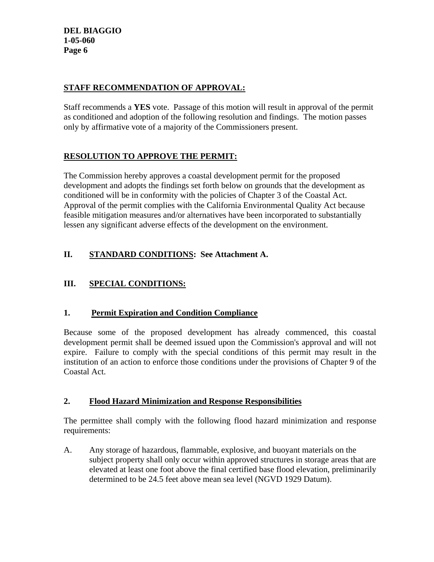## **STAFF RECOMMENDATION OF APPROVAL:**

Staff recommends a **YES** vote. Passage of this motion will result in approval of the permit as conditioned and adoption of the following resolution and findings. The motion passes only by affirmative vote of a majority of the Commissioners present.

## **RESOLUTION TO APPROVE THE PERMIT:**

The Commission hereby approves a coastal development permit for the proposed development and adopts the findings set forth below on grounds that the development as conditioned will be in conformity with the policies of Chapter 3 of the Coastal Act. Approval of the permit complies with the California Environmental Quality Act because feasible mitigation measures and/or alternatives have been incorporated to substantially lessen any significant adverse effects of the development on the environment.

# **II. STANDARD CONDITIONS: See Attachment A.**

# **III. SPECIAL CONDITIONS:**

## **1. Permit Expiration and Condition Compliance**

Because some of the proposed development has already commenced, this coastal development permit shall be deemed issued upon the Commission's approval and will not expire. Failure to comply with the special conditions of this permit may result in the institution of an action to enforce those conditions under the provisions of Chapter 9 of the Coastal Act.

## **2. Flood Hazard Minimization and Response Responsibilities**

The permittee shall comply with the following flood hazard minimization and response requirements:

A. Any storage of hazardous, flammable, explosive, and buoyant materials on the subject property shall only occur within approved structures in storage areas that are elevated at least one foot above the final certified base flood elevation, preliminarily determined to be 24.5 feet above mean sea level (NGVD 1929 Datum).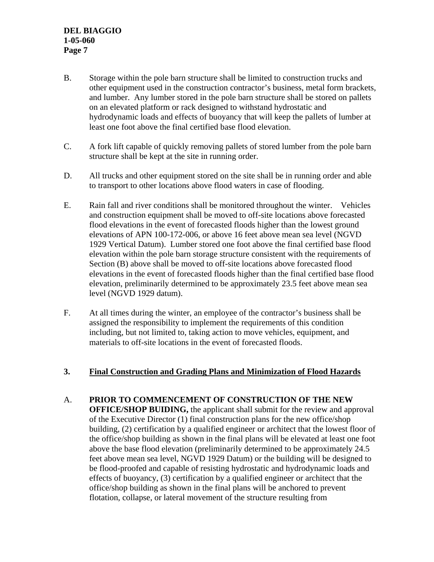- B. Storage within the pole barn structure shall be limited to construction trucks and other equipment used in the construction contractor's business, metal form brackets, and lumber. Any lumber stored in the pole barn structure shall be stored on pallets on an elevated platform or rack designed to withstand hydrostatic and hydrodynamic loads and effects of buoyancy that will keep the pallets of lumber at least one foot above the final certified base flood elevation.
- C. A fork lift capable of quickly removing pallets of stored lumber from the pole barn structure shall be kept at the site in running order.
- D. All trucks and other equipment stored on the site shall be in running order and able to transport to other locations above flood waters in case of flooding.
- E. Rain fall and river conditions shall be monitored throughout the winter. Vehicles and construction equipment shall be moved to off-site locations above forecasted flood elevations in the event of forecasted floods higher than the lowest ground elevations of APN 100-172-006, or above 16 feet above mean sea level (NGVD 1929 Vertical Datum). Lumber stored one foot above the final certified base flood elevation within the pole barn storage structure consistent with the requirements of Section (B) above shall be moved to off-site locations above forecasted flood elevations in the event of forecasted floods higher than the final certified base flood elevation, preliminarily determined to be approximately 23.5 feet above mean sea level (NGVD 1929 datum).
- F. At all times during the winter, an employee of the contractor's business shall be assigned the responsibility to implement the requirements of this condition including, but not limited to, taking action to move vehicles, equipment, and materials to off-site locations in the event of forecasted floods.

### **3. Final Construction and Grading Plans and Minimization of Flood Hazards**

## A. **PRIOR TO COMMENCEMENT OF CONSTRUCTION OF THE NEW**

**OFFICE/SHOP BUIDING, the applicant shall submit for the review and approval** of the Executive Director (1) final construction plans for the new office/shop building, (2) certification by a qualified engineer or architect that the lowest floor of the office/shop building as shown in the final plans will be elevated at least one foot above the base flood elevation (preliminarily determined to be approximately 24.5 feet above mean sea level, NGVD 1929 Datum) or the building will be designed to be flood-proofed and capable of resisting hydrostatic and hydrodynamic loads and effects of buoyancy, (3) certification by a qualified engineer or architect that the office/shop building as shown in the final plans will be anchored to prevent flotation, collapse, or lateral movement of the structure resulting from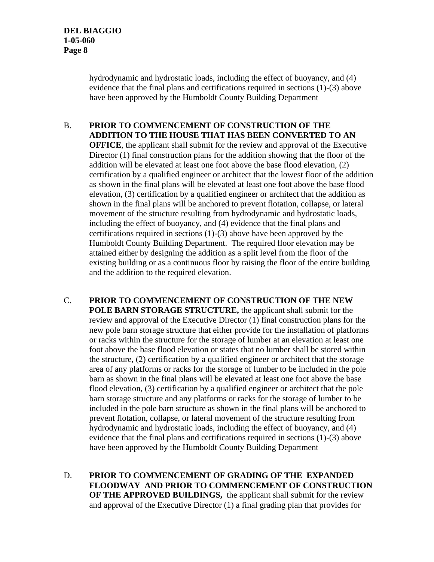hydrodynamic and hydrostatic loads, including the effect of buoyancy, and (4) evidence that the final plans and certifications required in sections (1)-(3) above have been approved by the Humboldt County Building Department

# B. **PRIOR TO COMMENCEMENT OF CONSTRUCTION OF THE ADDITION TO THE HOUSE THAT HAS BEEN CONVERTED TO AN**

**OFFICE**, the applicant shall submit for the review and approval of the Executive Director (1) final construction plans for the addition showing that the floor of the addition will be elevated at least one foot above the base flood elevation, (2) certification by a qualified engineer or architect that the lowest floor of the addition as shown in the final plans will be elevated at least one foot above the base flood elevation, (3) certification by a qualified engineer or architect that the addition as shown in the final plans will be anchored to prevent flotation, collapse, or lateral movement of the structure resulting from hydrodynamic and hydrostatic loads, including the effect of buoyancy, and (4) evidence that the final plans and certifications required in sections (1)-(3) above have been approved by the Humboldt County Building Department. The required floor elevation may be attained either by designing the addition as a split level from the floor of the existing building or as a continuous floor by raising the floor of the entire building and the addition to the required elevation.

- C. **PRIOR TO COMMENCEMENT OF CONSTRUCTION OF THE NEW POLE BARN STORAGE STRUCTURE,** the applicant shall submit for the review and approval of the Executive Director (1) final construction plans for the new pole barn storage structure that either provide for the installation of platforms or racks within the structure for the storage of lumber at an elevation at least one foot above the base flood elevation or states that no lumber shall be stored within the structure, (2) certification by a qualified engineer or architect that the storage area of any platforms or racks for the storage of lumber to be included in the pole barn as shown in the final plans will be elevated at least one foot above the base flood elevation, (3) certification by a qualified engineer or architect that the pole barn storage structure and any platforms or racks for the storage of lumber to be included in the pole barn structure as shown in the final plans will be anchored to prevent flotation, collapse, or lateral movement of the structure resulting from hydrodynamic and hydrostatic loads, including the effect of buoyancy, and (4) evidence that the final plans and certifications required in sections (1)-(3) above have been approved by the Humboldt County Building Department
- D. **PRIOR TO COMMENCEMENT OF GRADING OF THE EXPANDED FLOODWAY AND PRIOR TO COMMENCEMENT OF CONSTRUCTION OF THE APPROVED BUILDINGS,** the applicant shall submit for the review and approval of the Executive Director (1) a final grading plan that provides for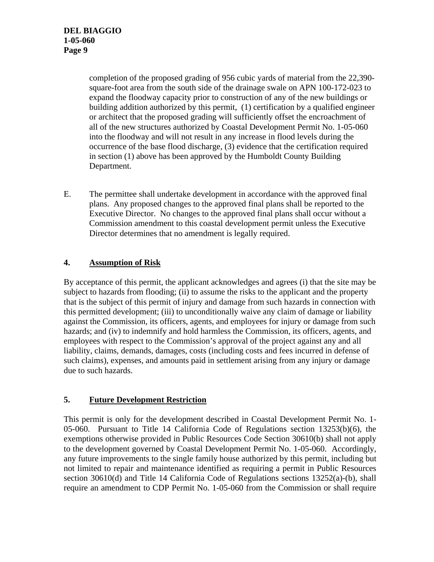completion of the proposed grading of 956 cubic yards of material from the 22,390 square-foot area from the south side of the drainage swale on APN 100-172-023 to expand the floodway capacity prior to construction of any of the new buildings or building addition authorized by this permit, (1) certification by a qualified engineer or architect that the proposed grading will sufficiently offset the encroachment of all of the new structures authorized by Coastal Development Permit No. 1-05-060 into the floodway and will not result in any increase in flood levels during the occurrence of the base flood discharge, (3) evidence that the certification required in section (1) above has been approved by the Humboldt County Building Department.

E. The permittee shall undertake development in accordance with the approved final plans. Any proposed changes to the approved final plans shall be reported to the Executive Director. No changes to the approved final plans shall occur without a Commission amendment to this coastal development permit unless the Executive Director determines that no amendment is legally required.

## **4. Assumption of Risk**

By acceptance of this permit, the applicant acknowledges and agrees (i) that the site may be subject to hazards from flooding; (ii) to assume the risks to the applicant and the property that is the subject of this permit of injury and damage from such hazards in connection with this permitted development; (iii) to unconditionally waive any claim of damage or liability against the Commission, its officers, agents, and employees for injury or damage from such hazards; and (iv) to indemnify and hold harmless the Commission, its officers, agents, and employees with respect to the Commission's approval of the project against any and all liability, claims, demands, damages, costs (including costs and fees incurred in defense of such claims), expenses, and amounts paid in settlement arising from any injury or damage due to such hazards.

## **5. Future Development Restriction**

This permit is only for the development described in Coastal Development Permit No. 1- 05-060. Pursuant to Title 14 California Code of Regulations section 13253(b)(6), the exemptions otherwise provided in Public Resources Code Section 30610(b) shall not apply to the development governed by Coastal Development Permit No. 1-05-060. Accordingly, any future improvements to the single family house authorized by this permit, including but not limited to repair and maintenance identified as requiring a permit in Public Resources section 30610(d) and Title 14 California Code of Regulations sections 13252(a)-(b), shall require an amendment to CDP Permit No. 1-05-060 from the Commission or shall require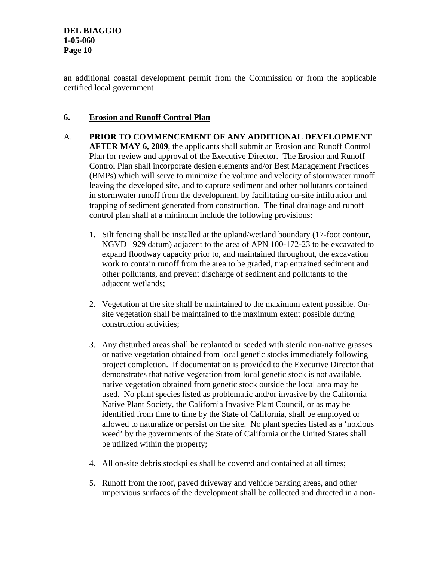an additional coastal development permit from the Commission or from the applicable certified local government

## **6. Erosion and Runoff Control Plan**

- A. **PRIOR TO COMMENCEMENT OF ANY ADDITIONAL DEVELOPMENT AFTER MAY 6, 2009**, the applicants shall submit an Erosion and Runoff Control Plan for review and approval of the Executive Director. The Erosion and Runoff Control Plan shall incorporate design elements and/or Best Management Practices (BMPs) which will serve to minimize the volume and velocity of stormwater runoff leaving the developed site, and to capture sediment and other pollutants contained in stormwater runoff from the development, by facilitating on-site infiltration and trapping of sediment generated from construction. The final drainage and runoff control plan shall at a minimum include the following provisions:
	- 1. Silt fencing shall be installed at the upland/wetland boundary (17-foot contour, NGVD 1929 datum) adjacent to the area of APN 100-172-23 to be excavated to expand floodway capacity prior to, and maintained throughout, the excavation work to contain runoff from the area to be graded, trap entrained sediment and other pollutants, and prevent discharge of sediment and pollutants to the adjacent wetlands;
	- 2. Vegetation at the site shall be maintained to the maximum extent possible. Onsite vegetation shall be maintained to the maximum extent possible during construction activities;
	- 3. Any disturbed areas shall be replanted or seeded with sterile non-native grasses or native vegetation obtained from local genetic stocks immediately following project completion. If documentation is provided to the Executive Director that demonstrates that native vegetation from local genetic stock is not available, native vegetation obtained from genetic stock outside the local area may be used. No plant species listed as problematic and/or invasive by the California Native Plant Society, the California Invasive Plant Council, or as may be identified from time to time by the State of California, shall be employed or allowed to naturalize or persist on the site. No plant species listed as a 'noxious weed' by the governments of the State of California or the United States shall be utilized within the property;
	- 4. All on-site debris stockpiles shall be covered and contained at all times;
	- 5. Runoff from the roof, paved driveway and vehicle parking areas, and other impervious surfaces of the development shall be collected and directed in a non-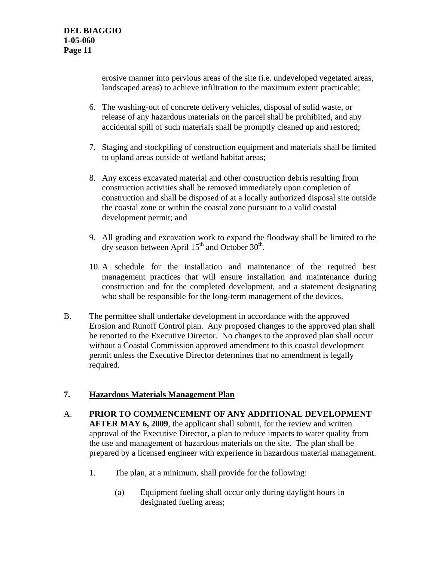erosive manner into pervious areas of the site (i.e. undeveloped vegetated areas, landscaped areas) to achieve infiltration to the maximum extent practicable;

- 6. The washing-out of concrete delivery vehicles, disposal of solid waste, or release of any hazardous materials on the parcel shall be prohibited, and any accidental spill of such materials shall be promptly cleaned up and restored;
- 7. Staging and stockpiling of construction equipment and materials shall be limited to upland areas outside of wetland habitat areas;
- 8. Any excess excavated material and other construction debris resulting from construction activities shall be removed immediately upon completion of construction and shall be disposed of at a locally authorized disposal site outside the coastal zone or within the coastal zone pursuant to a valid coastal development permit; and
- 9. All grading and excavation work to expand the floodway shall be limited to the dry season between April  $15<sup>th</sup>$  and October  $30<sup>th</sup>$ .
- 10. A schedule for the installation and maintenance of the required best management practices that will ensure installation and maintenance during construction and for the completed development, and a statement designating who shall be responsible for the long-term management of the devices.
- B. The permittee shall undertake development in accordance with the approved Erosion and Runoff Control plan. Any proposed changes to the approved plan shall be reported to the Executive Director. No changes to the approved plan shall occur without a Coastal Commission approved amendment to this coastal development permit unless the Executive Director determines that no amendment is legally required.

## **7. Hazardous Materials Management Plan**

- A. **PRIOR TO COMMENCEMENT OF ANY ADDITIONAL DEVELOPMENT AFTER MAY 6, 2009**, the applicant shall submit, for the review and written approval of the Executive Director, a plan to reduce impacts to water quality from the use and management of hazardous materials on the site. The plan shall be prepared by a licensed engineer with experience in hazardous material management.
	- 1. The plan, at a minimum, shall provide for the following:
		- (a) Equipment fueling shall occur only during daylight hours in designated fueling areas;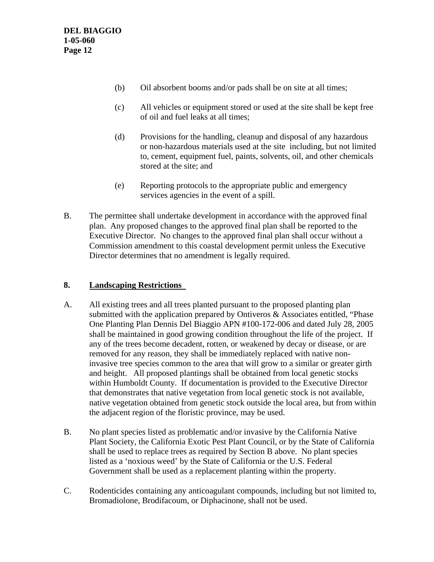- (b) Oil absorbent booms and/or pads shall be on site at all times;
- (c) All vehicles or equipment stored or used at the site shall be kept free of oil and fuel leaks at all times;
- (d) Provisions for the handling, cleanup and disposal of any hazardous or non-hazardous materials used at the site including, but not limited to, cement, equipment fuel, paints, solvents, oil, and other chemicals stored at the site; and
- (e) Reporting protocols to the appropriate public and emergency services agencies in the event of a spill.
- B. The permittee shall undertake development in accordance with the approved final plan. Any proposed changes to the approved final plan shall be reported to the Executive Director. No changes to the approved final plan shall occur without a Commission amendment to this coastal development permit unless the Executive Director determines that no amendment is legally required.

## **8. Landscaping Restrictions**

- A. All existing trees and all trees planted pursuant to the proposed planting plan submitted with the application prepared by Ontiveros & Associates entitled, "Phase One Planting Plan Dennis Del Biaggio APN #100-172-006 and dated July 28, 2005 shall be maintained in good growing condition throughout the life of the project. If any of the trees become decadent, rotten, or weakened by decay or disease, or are removed for any reason, they shall be immediately replaced with native noninvasive tree species common to the area that will grow to a similar or greater girth and height. All proposed plantings shall be obtained from local genetic stocks within Humboldt County. If documentation is provided to the Executive Director that demonstrates that native vegetation from local genetic stock is not available, native vegetation obtained from genetic stock outside the local area, but from within the adjacent region of the floristic province, may be used.
- B. No plant species listed as problematic and/or invasive by the California Native Plant Society, the California Exotic Pest Plant Council, or by the State of California shall be used to replace trees as required by Section B above. No plant species listed as a 'noxious weed' by the State of California or the U.S. Federal Government shall be used as a replacement planting within the property.
- C. Rodenticides containing any anticoagulant compounds, including but not limited to, Bromadiolone, Brodifacoum, or Diphacinone, shall not be used.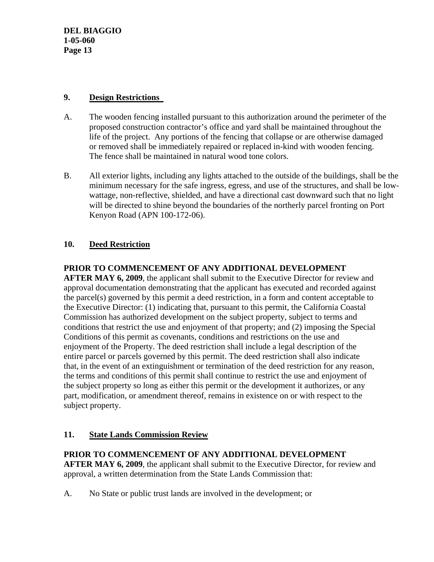## **9. Design Restrictions**

- A. The wooden fencing installed pursuant to this authorization around the perimeter of the proposed construction contractor's office and yard shall be maintained throughout the life of the project. Any portions of the fencing that collapse or are otherwise damaged or removed shall be immediately repaired or replaced in-kind with wooden fencing. The fence shall be maintained in natural wood tone colors.
- B. All exterior lights, including any lights attached to the outside of the buildings, shall be the minimum necessary for the safe ingress, egress, and use of the structures, and shall be lowwattage, non-reflective, shielded, and have a directional cast downward such that no light will be directed to shine beyond the boundaries of the northerly parcel fronting on Port Kenyon Road (APN 100-172-06).

## **10. Deed Restriction**

## **PRIOR TO COMMENCEMENT OF ANY ADDITIONAL DEVELOPMENT**

**AFTER MAY 6, 2009**, the applicant shall submit to the Executive Director for review and approval documentation demonstrating that the applicant has executed and recorded against the parcel(s) governed by this permit a deed restriction, in a form and content acceptable to the Executive Director: (1) indicating that, pursuant to this permit, the California Coastal Commission has authorized development on the subject property, subject to terms and conditions that restrict the use and enjoyment of that property; and (2) imposing the Special Conditions of this permit as covenants, conditions and restrictions on the use and enjoyment of the Property. The deed restriction shall include a legal description of the entire parcel or parcels governed by this permit. The deed restriction shall also indicate that, in the event of an extinguishment or termination of the deed restriction for any reason, the terms and conditions of this permit shall continue to restrict the use and enjoyment of the subject property so long as either this permit or the development it authorizes, or any part, modification, or amendment thereof, remains in existence on or with respect to the subject property.

## **11. State Lands Commission Review**

## **PRIOR TO COMMENCEMENT OF ANY ADDITIONAL DEVELOPMENT**

**AFTER MAY 6, 2009**, the applicant shall submit to the Executive Director, for review and approval, a written determination from the State Lands Commission that:

A. No State or public trust lands are involved in the development; or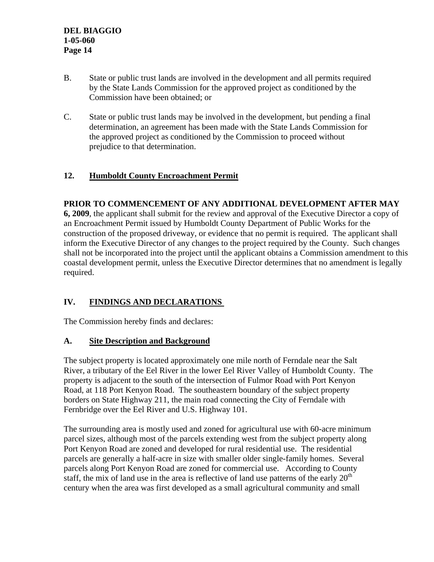- B. State or public trust lands are involved in the development and all permits required by the State Lands Commission for the approved project as conditioned by the Commission have been obtained; or
- C. State or public trust lands may be involved in the development, but pending a final determination, an agreement has been made with the State Lands Commission for the approved project as conditioned by the Commission to proceed without prejudice to that determination.

## **12. Humboldt County Encroachment Permit**

### **PRIOR TO COMMENCEMENT OF ANY ADDITIONAL DEVELOPMENT AFTER MAY**

**6, 2009**, the applicant shall submit for the review and approval of the Executive Director a copy of an Encroachment Permit issued by Humboldt County Department of Public Works for the construction of the proposed driveway, or evidence that no permit is required. The applicant shall inform the Executive Director of any changes to the project required by the County. Such changes shall not be incorporated into the project until the applicant obtains a Commission amendment to this coastal development permit, unless the Executive Director determines that no amendment is legally required.

## **IV. FINDINGS AND DECLARATIONS**

The Commission hereby finds and declares:

## **A. Site Description and Background**

The subject property is located approximately one mile north of Ferndale near the Salt River, a tributary of the Eel River in the lower Eel River Valley of Humboldt County. The property is adjacent to the south of the intersection of Fulmor Road with Port Kenyon Road, at 118 Port Kenyon Road. The southeastern boundary of the subject property borders on State Highway 211, the main road connecting the City of Ferndale with Fernbridge over the Eel River and U.S. Highway 101.

The surrounding area is mostly used and zoned for agricultural use with 60-acre minimum parcel sizes, although most of the parcels extending west from the subject property along Port Kenyon Road are zoned and developed for rural residential use. The residential parcels are generally a half-acre in size with smaller older single-family homes. Several parcels along Port Kenyon Road are zoned for commercial use. According to County staff, the mix of land use in the area is reflective of land use patterns of the early  $20<sup>th</sup>$ century when the area was first developed as a small agricultural community and small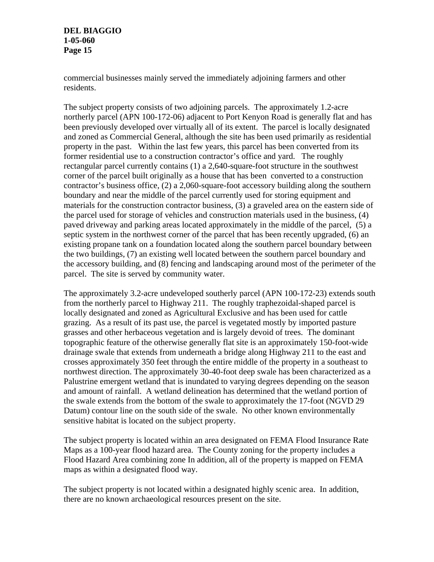commercial businesses mainly served the immediately adjoining farmers and other residents.

The subject property consists of two adjoining parcels. The approximately 1.2-acre northerly parcel (APN 100-172-06) adjacent to Port Kenyon Road is generally flat and has been previously developed over virtually all of its extent. The parcel is locally designated and zoned as Commercial General, although the site has been used primarily as residential property in the past. Within the last few years, this parcel has been converted from its former residential use to a construction contractor's office and yard. The roughly rectangular parcel currently contains (1) a 2,640-square-foot structure in the southwest corner of the parcel built originally as a house that has been converted to a construction contractor's business office, (2) a 2,060-square-foot accessory building along the southern boundary and near the middle of the parcel currently used for storing equipment and materials for the construction contractor business, (3) a graveled area on the eastern side of the parcel used for storage of vehicles and construction materials used in the business, (4) paved driveway and parking areas located approximately in the middle of the parcel, (5) a septic system in the northwest corner of the parcel that has been recently upgraded, (6) an existing propane tank on a foundation located along the southern parcel boundary between the two buildings, (7) an existing well located between the southern parcel boundary and the accessory building, and (8) fencing and landscaping around most of the perimeter of the parcel. The site is served by community water.

The approximately 3.2-acre undeveloped southerly parcel (APN 100-172-23) extends south from the northerly parcel to Highway 211. The roughly traphezoidal-shaped parcel is locally designated and zoned as Agricultural Exclusive and has been used for cattle grazing. As a result of its past use, the parcel is vegetated mostly by imported pasture grasses and other herbaceous vegetation and is largely devoid of trees. The dominant topographic feature of the otherwise generally flat site is an approximately 150-foot-wide drainage swale that extends from underneath a bridge along Highway 211 to the east and crosses approximately 350 feet through the entire middle of the property in a southeast to northwest direction. The approximately 30-40-foot deep swale has been characterized as a Palustrine emergent wetland that is inundated to varying degrees depending on the season and amount of rainfall. A wetland delineation has determined that the wetland portion of the swale extends from the bottom of the swale to approximately the 17-foot (NGVD 29 Datum) contour line on the south side of the swale. No other known environmentally sensitive habitat is located on the subject property.

The subject property is located within an area designated on FEMA Flood Insurance Rate Maps as a 100-year flood hazard area. The County zoning for the property includes a Flood Hazard Area combining zone In addition, all of the property is mapped on FEMA maps as within a designated flood way.

The subject property is not located within a designated highly scenic area. In addition, there are no known archaeological resources present on the site.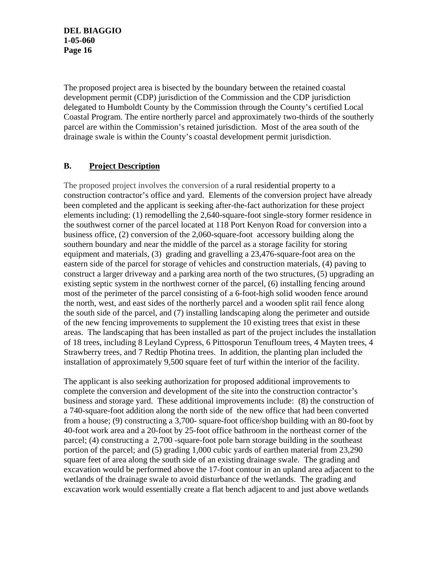The proposed project area is bisected by the boundary between the retained coastal development permit (CDP) jurisdiction of the Commission and the CDP jurisdiction delegated to Humboldt County by the Commission through the County's certified Local Coastal Program. The entire northerly parcel and approximately two-thirds of the southerly parcel are within the Commission's retained jurisdiction. Most of the area south of the drainage swale is within the County's coastal development permit jurisdiction.

## **B. Project Description**

The proposed project involves the conversion of a rural residential property to a construction contractor's office and yard. Elements of the conversion project have already been completed and the applicant is seeking after-the-fact authorization for these project elements including: (1) remodelling the 2,640-square-foot single-story former residence in the southwest corner of the parcel located at 118 Port Kenyon Road for conversion into a business office, (2) conversion of the 2,060-square-foot accessory building along the southern boundary and near the middle of the parcel as a storage facility for storing equipment and materials, (3) grading and gravelling a 23,476-square-foot area on the eastern side of the parcel for storage of vehicles and construction materials, (4) paving to construct a larger driveway and a parking area north of the two structures, (5) upgrading an existing septic system in the northwest corner of the parcel, (6) installing fencing around most of the perimeter of the parcel consisting of a 6-foot-high solid wooden fence around the north, west, and east sides of the northerly parcel and a wooden split rail fence along the south side of the parcel, and (7) installing landscaping along the perimeter and outside of the new fencing improvements to supplement the 10 existing trees that exist in these areas. The landscaping that has been installed as part of the project includes the installation of 18 trees, including 8 Leyland Cypress, 6 Pittosporun Tenufloum trees, 4 Mayten trees, 4 Strawberry trees, and 7 Redtip Photina trees. In addition, the planting plan included the installation of approximately 9,500 square feet of turf within the interior of the facility.

The applicant is also seeking authorization for proposed additional improvements to complete the conversion and development of the site into the construction contractor's business and storage yard. These additional improvements include: (8) the construction of a 740-square-foot addition along the north side of the new office that had been converted from a house; (9) constructing a 3,700- square-foot office/shop building with an 80-foot by 40-foot work area and a 20-foot by 25-foot office bathroom in the northeast corner of the parcel; (4) constructing a 2,700 -square-foot pole barn storage building in the southeast portion of the parcel; and (5) grading 1,000 cubic yards of earthen material from 23,290 square feet of area along the south side of an existing drainage swale. The grading and excavation would be performed above the 17-foot contour in an upland area adjacent to the wetlands of the drainage swale to avoid disturbance of the wetlands. The grading and excavation work would essentially create a flat bench adjacent to and just above wetlands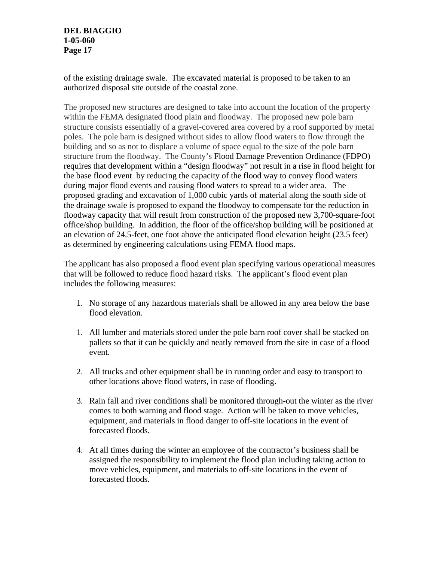of the existing drainage swale. The excavated material is proposed to be taken to an authorized disposal site outside of the coastal zone.

The proposed new structures are designed to take into account the location of the property within the FEMA designated flood plain and floodway. The proposed new pole barn structure consists essentially of a gravel-covered area covered by a roof supported by metal poles. The pole barn is designed without sides to allow flood waters to flow through the building and so as not to displace a volume of space equal to the size of the pole barn structure from the floodway. The County's Flood Damage Prevention Ordinance (FDPO) requires that development within a "design floodway" not result in a rise in flood height for the base flood event by reducing the capacity of the flood way to convey flood waters during major flood events and causing flood waters to spread to a wider area. The proposed grading and excavation of 1,000 cubic yards of material along the south side of the drainage swale is proposed to expand the floodway to compensate for the reduction in floodway capacity that will result from construction of the proposed new 3,700-square-foot office/shop building. In addition, the floor of the office/shop building will be positioned at an elevation of 24.5-feet, one foot above the anticipated flood elevation height (23.5 feet) as determined by engineering calculations using FEMA flood maps.

The applicant has also proposed a flood event plan specifying various operational measures that will be followed to reduce flood hazard risks. The applicant's flood event plan includes the following measures:

- 1. No storage of any hazardous materials shall be allowed in any area below the base flood elevation.
- 1. All lumber and materials stored under the pole barn roof cover shall be stacked on pallets so that it can be quickly and neatly removed from the site in case of a flood event.
- 2. All trucks and other equipment shall be in running order and easy to transport to other locations above flood waters, in case of flooding.
- 3. Rain fall and river conditions shall be monitored through-out the winter as the river comes to both warning and flood stage. Action will be taken to move vehicles, equipment, and materials in flood danger to off-site locations in the event of forecasted floods.
- 4. At all times during the winter an employee of the contractor's business shall be assigned the responsibility to implement the flood plan including taking action to move vehicles, equipment, and materials to off-site locations in the event of forecasted floods.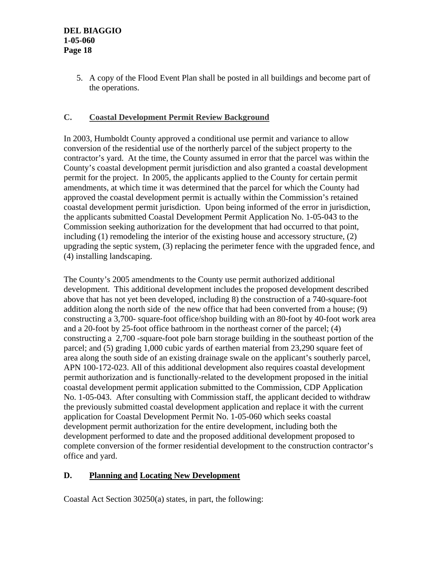5. A copy of the Flood Event Plan shall be posted in all buildings and become part of the operations.

## **C. Coastal Development Permit Review Background**

In 2003, Humboldt County approved a conditional use permit and variance to allow conversion of the residential use of the northerly parcel of the subject property to the contractor's yard. At the time, the County assumed in error that the parcel was within the County's coastal development permit jurisdiction and also granted a coastal development permit for the project. In 2005, the applicants applied to the County for certain permit amendments, at which time it was determined that the parcel for which the County had approved the coastal development permit is actually within the Commission's retained coastal development permit jurisdiction. Upon being informed of the error in jurisdiction, the applicants submitted Coastal Development Permit Application No. 1-05-043 to the Commission seeking authorization for the development that had occurred to that point, including (1) remodeling the interior of the existing house and accessory structure, (2) upgrading the septic system, (3) replacing the perimeter fence with the upgraded fence, and (4) installing landscaping.

The County's 2005 amendments to the County use permit authorized additional development. This additional development includes the proposed development described above that has not yet been developed, including 8) the construction of a 740-square-foot addition along the north side of the new office that had been converted from a house; (9) constructing a 3,700- square-foot office/shop building with an 80-foot by 40-foot work area and a 20-foot by 25-foot office bathroom in the northeast corner of the parcel; (4) constructing a 2,700 -square-foot pole barn storage building in the southeast portion of the parcel; and (5) grading 1,000 cubic yards of earthen material from 23,290 square feet of area along the south side of an existing drainage swale on the applicant's southerly parcel, APN 100-172-023. All of this additional development also requires coastal development permit authorization and is functionally-related to the development proposed in the initial coastal development permit application submitted to the Commission, CDP Application No. 1-05-043. After consulting with Commission staff, the applicant decided to withdraw the previously submitted coastal development application and replace it with the current application for Coastal Development Permit No. 1-05-060 which seeks coastal development permit authorization for the entire development, including both the development performed to date and the proposed additional development proposed to complete conversion of the former residential development to the construction contractor's office and yard.

## **D. Planning and Locating New Development**

Coastal Act Section 30250(a) states, in part, the following: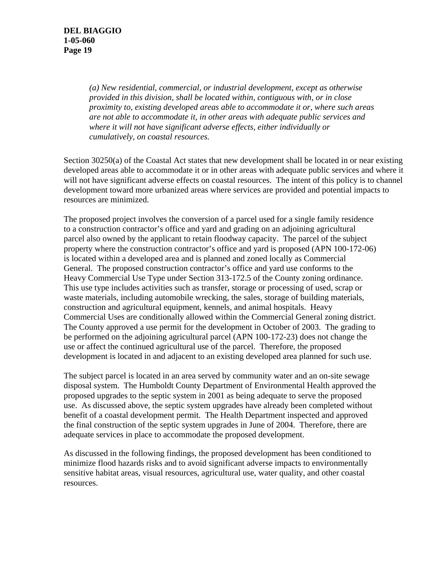*(a) New residential, commercial, or industrial development, except as otherwise provided in this division, shall be located within, contiguous with, or in close proximity to, existing developed areas able to accommodate it or, where such areas are not able to accommodate it, in other areas with adequate public services and where it will not have significant adverse effects, either individually or cumulatively, on coastal resources.* 

Section 30250(a) of the Coastal Act states that new development shall be located in or near existing developed areas able to accommodate it or in other areas with adequate public services and where it will not have significant adverse effects on coastal resources. The intent of this policy is to channel development toward more urbanized areas where services are provided and potential impacts to resources are minimized.

The proposed project involves the conversion of a parcel used for a single family residence to a construction contractor's office and yard and grading on an adjoining agricultural parcel also owned by the applicant to retain floodway capacity. The parcel of the subject property where the construction contractor's office and yard is proposed (APN 100-172-06) is located within a developed area and is planned and zoned locally as Commercial General. The proposed construction contractor's office and yard use conforms to the Heavy Commercial Use Type under Section 313-172.5 of the County zoning ordinance. This use type includes activities such as transfer, storage or processing of used, scrap or waste materials, including automobile wrecking, the sales, storage of building materials, construction and agricultural equipment, kennels, and animal hospitals. Heavy Commercial Uses are conditionally allowed within the Commercial General zoning district. The County approved a use permit for the development in October of 2003. The grading to be performed on the adjoining agricultural parcel (APN 100-172-23) does not change the use or affect the continued agricultural use of the parcel. Therefore, the proposed development is located in and adjacent to an existing developed area planned for such use.

The subject parcel is located in an area served by community water and an on-site sewage disposal system. The Humboldt County Department of Environmental Health approved the proposed upgrades to the septic system in 2001 as being adequate to serve the proposed use. As discussed above, the septic system upgrades have already been completed without benefit of a coastal development permit. The Health Department inspected and approved the final construction of the septic system upgrades in June of 2004. Therefore, there are adequate services in place to accommodate the proposed development.

As discussed in the following findings, the proposed development has been conditioned to minimize flood hazards risks and to avoid significant adverse impacts to environmentally sensitive habitat areas, visual resources, agricultural use, water quality, and other coastal resources.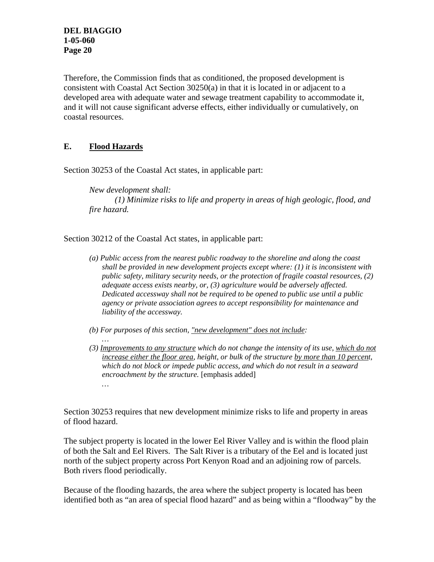Therefore, the Commission finds that as conditioned, the proposed development is consistent with Coastal Act Section 30250(a) in that it is located in or adjacent to a developed area with adequate water and sewage treatment capability to accommodate it, and it will not cause significant adverse effects, either individually or cumulatively, on coastal resources.

## **E. Flood Hazards**

 *…* 

Section 30253 of the Coastal Act states, in applicable part:

*New development shall: (1) Minimize risks to life and property in areas of high geologic, flood, and fire hazard.* 

Section 30212 of the Coastal Act states, in applicable part:

- *(a) Public access from the nearest public roadway to the shoreline and along the coast shall be provided in new development projects except where: (1) it is inconsistent with public safety, military security needs, or the protection of fragile coastal resources, (2) adequate access exists nearby, or, (3) agriculture would be adversely affected. Dedicated accessway shall not be required to be opened to public use until a public agency or private association agrees to accept responsibility for maintenance and liability of the accessway.*
- *(b) For purposes of this section, "new development" does not include:*
- *… (3) Improvements to any structure which do not change the intensity of its use, which do not increase either the floor area, height, or bulk of the structure by more than 10 percent, which do not block or impede public access, and which do not result in a seaward encroachment by the structure.* [emphasis added]

Section 30253 requires that new development minimize risks to life and property in areas of flood hazard.

The subject property is located in the lower Eel River Valley and is within the flood plain of both the Salt and Eel Rivers. The Salt River is a tributary of the Eel and is located just north of the subject property across Port Kenyon Road and an adjoining row of parcels. Both rivers flood periodically.

Because of the flooding hazards, the area where the subject property is located has been identified both as "an area of special flood hazard" and as being within a "floodway" by the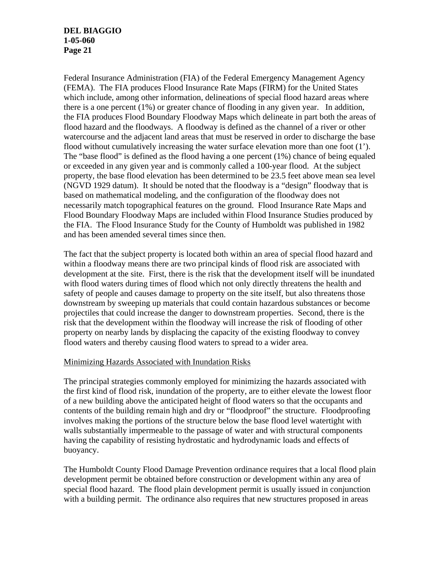Federal Insurance Administration (FIA) of the Federal Emergency Management Agency (FEMA). The FIA produces Flood Insurance Rate Maps (FIRM) for the United States which include, among other information, delineations of special flood hazard areas where there is a one percent (1%) or greater chance of flooding in any given year. In addition, the FIA produces Flood Boundary Floodway Maps which delineate in part both the areas of flood hazard and the floodways. A floodway is defined as the channel of a river or other watercourse and the adjacent land areas that must be reserved in order to discharge the base flood without cumulatively increasing the water surface elevation more than one foot (1'). The "base flood" is defined as the flood having a one percent (1%) chance of being equaled or exceeded in any given year and is commonly called a 100-year flood. At the subject property, the base flood elevation has been determined to be 23.5 feet above mean sea level (NGVD 1929 datum). It should be noted that the floodway is a "design" floodway that is based on mathematical modeling, and the configuration of the floodway does not necessarily match topographical features on the ground. Flood Insurance Rate Maps and Flood Boundary Floodway Maps are included within Flood Insurance Studies produced by the FIA. The Flood Insurance Study for the County of Humboldt was published in 1982 and has been amended several times since then.

The fact that the subject property is located both within an area of special flood hazard and within a floodway means there are two principal kinds of flood risk are associated with development at the site. First, there is the risk that the development itself will be inundated with flood waters during times of flood which not only directly threatens the health and safety of people and causes damage to property on the site itself, but also threatens those downstream by sweeping up materials that could contain hazardous substances or become projectiles that could increase the danger to downstream properties. Second, there is the risk that the development within the floodway will increase the risk of flooding of other property on nearby lands by displacing the capacity of the existing floodway to convey flood waters and thereby causing flood waters to spread to a wider area.

#### Minimizing Hazards Associated with Inundation Risks

The principal strategies commonly employed for minimizing the hazards associated with the first kind of flood risk, inundation of the property, are to either elevate the lowest floor of a new building above the anticipated height of flood waters so that the occupants and contents of the building remain high and dry or "floodproof" the structure. Floodproofing involves making the portions of the structure below the base flood level watertight with walls substantially impermeable to the passage of water and with structural components having the capability of resisting hydrostatic and hydrodynamic loads and effects of buoyancy.

The Humboldt County Flood Damage Prevention ordinance requires that a local flood plain development permit be obtained before construction or development within any area of special flood hazard. The flood plain development permit is usually issued in conjunction with a building permit. The ordinance also requires that new structures proposed in areas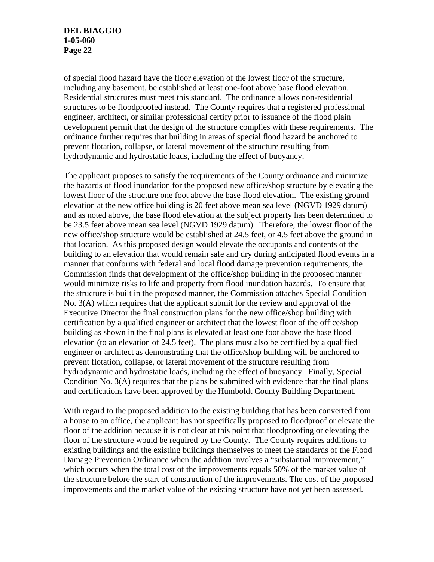of special flood hazard have the floor elevation of the lowest floor of the structure, including any basement, be established at least one-foot above base flood elevation. Residential structures must meet this standard. The ordinance allows non-residential structures to be floodproofed instead. The County requires that a registered professional engineer, architect, or similar professional certify prior to issuance of the flood plain development permit that the design of the structure complies with these requirements. The ordinance further requires that building in areas of special flood hazard be anchored to prevent flotation, collapse, or lateral movement of the structure resulting from hydrodynamic and hydrostatic loads, including the effect of buoyancy.

The applicant proposes to satisfy the requirements of the County ordinance and minimize the hazards of flood inundation for the proposed new office/shop structure by elevating the lowest floor of the structure one foot above the base flood elevation. The existing ground elevation at the new office building is 20 feet above mean sea level (NGVD 1929 datum) and as noted above, the base flood elevation at the subject property has been determined to be 23.5 feet above mean sea level (NGVD 1929 datum). Therefore, the lowest floor of the new office/shop structure would be established at 24.5 feet, or 4.5 feet above the ground in that location. As this proposed design would elevate the occupants and contents of the building to an elevation that would remain safe and dry during anticipated flood events in a manner that conforms with federal and local flood damage prevention requirements, the Commission finds that development of the office/shop building in the proposed manner would minimize risks to life and property from flood inundation hazards. To ensure that the structure is built in the proposed manner, the Commission attaches Special Condition No. 3(A) which requires that the applicant submit for the review and approval of the Executive Director the final construction plans for the new office/shop building with certification by a qualified engineer or architect that the lowest floor of the office/shop building as shown in the final plans is elevated at least one foot above the base flood elevation (to an elevation of 24.5 feet). The plans must also be certified by a qualified engineer or architect as demonstrating that the office/shop building will be anchored to prevent flotation, collapse, or lateral movement of the structure resulting from hydrodynamic and hydrostatic loads, including the effect of buoyancy. Finally, Special Condition No. 3(A) requires that the plans be submitted with evidence that the final plans and certifications have been approved by the Humboldt County Building Department.

With regard to the proposed addition to the existing building that has been converted from a house to an office, the applicant has not specifically proposed to floodproof or elevate the floor of the addition because it is not clear at this point that floodproofing or elevating the floor of the structure would be required by the County. The County requires additions to existing buildings and the existing buildings themselves to meet the standards of the Flood Damage Prevention Ordinance when the addition involves a "substantial improvement," which occurs when the total cost of the improvements equals 50% of the market value of the structure before the start of construction of the improvements. The cost of the proposed improvements and the market value of the existing structure have not yet been assessed.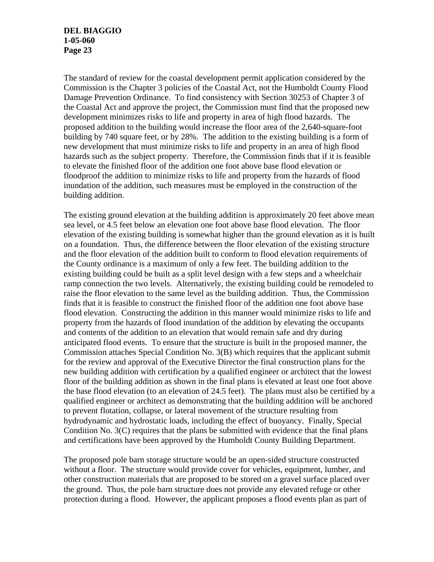The standard of review for the coastal development permit application considered by the Commission is the Chapter 3 policies of the Coastal Act, not the Humboldt County Flood Damage Prevention Ordinance. To find consistency with Section 30253 of Chapter 3 of the Coastal Act and approve the project, the Commission must find that the proposed new development minimizes risks to life and property in area of high flood hazards. The proposed addition to the building would increase the floor area of the 2,640-square-foot building by 740 square feet, or by 28%. The addition to the existing building is a form of new development that must minimize risks to life and property in an area of high flood hazards such as the subject property. Therefore, the Commission finds that if it is feasible to elevate the finished floor of the addition one foot above base flood elevation or floodproof the addition to minimize risks to life and property from the hazards of flood inundation of the addition, such measures must be employed in the construction of the building addition.

The existing ground elevation at the building addition is approximately 20 feet above mean sea level, or 4.5 feet below an elevation one foot above base flood elevation. The floor elevation of the existing building is somewhat higher than the ground elevation as it is built on a foundation. Thus, the difference between the floor elevation of the existing structure and the floor elevation of the addition built to conform to flood elevation requirements of the County ordinance is a maximum of only a few feet. The building addition to the existing building could be built as a split level design with a few steps and a wheelchair ramp connection the two levels. Alternatively, the existing building could be remodeled to raise the floor elevation to the same level as the building addition. Thus, the Commission finds that it is feasible to construct the finished floor of the addition one foot above base flood elevation. Constructing the addition in this manner would minimize risks to life and property from the hazards of flood inundation of the addition by elevating the occupants and contents of the addition to an elevation that would remain safe and dry during anticipated flood events. To ensure that the structure is built in the proposed manner, the Commission attaches Special Condition No. 3(B) which requires that the applicant submit for the review and approval of the Executive Director the final construction plans for the new building addition with certification by a qualified engineer or architect that the lowest floor of the building addition as shown in the final plans is elevated at least one foot above the base flood elevation (to an elevation of 24.5 feet). The plans must also be certified by a qualified engineer or architect as demonstrating that the building addition will be anchored to prevent flotation, collapse, or lateral movement of the structure resulting from hydrodynamic and hydrostatic loads, including the effect of buoyancy. Finally, Special Condition No. 3(C) requires that the plans be submitted with evidence that the final plans and certifications have been approved by the Humboldt County Building Department.

The proposed pole barn storage structure would be an open-sided structure constructed without a floor. The structure would provide cover for vehicles, equipment, lumber, and other construction materials that are proposed to be stored on a gravel surface placed over the ground. Thus, the pole barn structure does not provide any elevated refuge or other protection during a flood. However, the applicant proposes a flood events plan as part of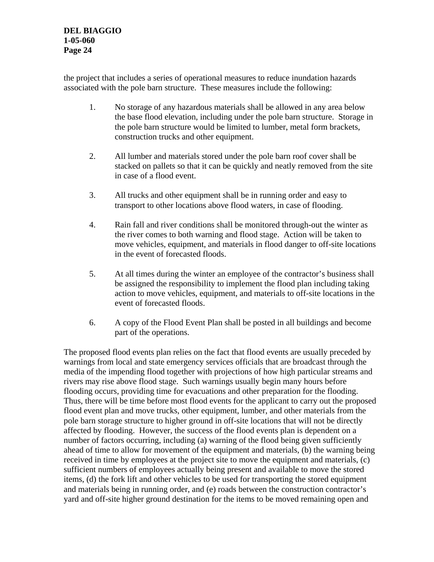the project that includes a series of operational measures to reduce inundation hazards associated with the pole barn structure. These measures include the following:

- 1. No storage of any hazardous materials shall be allowed in any area below the base flood elevation, including under the pole barn structure. Storage in the pole barn structure would be limited to lumber, metal form brackets, construction trucks and other equipment.
- 2. All lumber and materials stored under the pole barn roof cover shall be stacked on pallets so that it can be quickly and neatly removed from the site in case of a flood event.
- 3. All trucks and other equipment shall be in running order and easy to transport to other locations above flood waters, in case of flooding.
- 4. Rain fall and river conditions shall be monitored through-out the winter as the river comes to both warning and flood stage. Action will be taken to move vehicles, equipment, and materials in flood danger to off-site locations in the event of forecasted floods.
- 5. At all times during the winter an employee of the contractor's business shall be assigned the responsibility to implement the flood plan including taking action to move vehicles, equipment, and materials to off-site locations in the event of forecasted floods.
- 6. A copy of the Flood Event Plan shall be posted in all buildings and become part of the operations.

The proposed flood events plan relies on the fact that flood events are usually preceded by warnings from local and state emergency services officials that are broadcast through the media of the impending flood together with projections of how high particular streams and rivers may rise above flood stage. Such warnings usually begin many hours before flooding occurs, providing time for evacuations and other preparation for the flooding. Thus, there will be time before most flood events for the applicant to carry out the proposed flood event plan and move trucks, other equipment, lumber, and other materials from the pole barn storage structure to higher ground in off-site locations that will not be directly affected by flooding. However, the success of the flood events plan is dependent on a number of factors occurring, including (a) warning of the flood being given sufficiently ahead of time to allow for movement of the equipment and materials, (b) the warning being received in time by employees at the project site to move the equipment and materials, (c) sufficient numbers of employees actually being present and available to move the stored items, (d) the fork lift and other vehicles to be used for transporting the stored equipment and materials being in running order, and (e) roads between the construction contractor's yard and off-site higher ground destination for the items to be moved remaining open and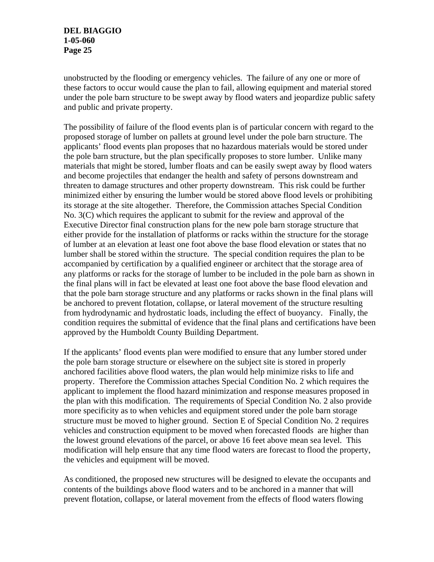unobstructed by the flooding or emergency vehicles. The failure of any one or more of these factors to occur would cause the plan to fail, allowing equipment and material stored under the pole barn structure to be swept away by flood waters and jeopardize public safety and public and private property.

The possibility of failure of the flood events plan is of particular concern with regard to the proposed storage of lumber on pallets at ground level under the pole barn structure. The applicants' flood events plan proposes that no hazardous materials would be stored under the pole barn structure, but the plan specifically proposes to store lumber. Unlike many materials that might be stored, lumber floats and can be easily swept away by flood waters and become projectiles that endanger the health and safety of persons downstream and threaten to damage structures and other property downstream. This risk could be further minimized either by ensuring the lumber would be stored above flood levels or prohibiting its storage at the site altogether. Therefore, the Commission attaches Special Condition No. 3(C) which requires the applicant to submit for the review and approval of the Executive Director final construction plans for the new pole barn storage structure that either provide for the installation of platforms or racks within the structure for the storage of lumber at an elevation at least one foot above the base flood elevation or states that no lumber shall be stored within the structure. The special condition requires the plan to be accompanied by certification by a qualified engineer or architect that the storage area of any platforms or racks for the storage of lumber to be included in the pole barn as shown in the final plans will in fact be elevated at least one foot above the base flood elevation and that the pole barn storage structure and any platforms or racks shown in the final plans will be anchored to prevent flotation, collapse, or lateral movement of the structure resulting from hydrodynamic and hydrostatic loads, including the effect of buoyancy. Finally, the condition requires the submittal of evidence that the final plans and certifications have been approved by the Humboldt County Building Department.

If the applicants' flood events plan were modified to ensure that any lumber stored under the pole barn storage structure or elsewhere on the subject site is stored in properly anchored facilities above flood waters, the plan would help minimize risks to life and property. Therefore the Commission attaches Special Condition No. 2 which requires the applicant to implement the flood hazard minimization and response measures proposed in the plan with this modification. The requirements of Special Condition No. 2 also provide more specificity as to when vehicles and equipment stored under the pole barn storage structure must be moved to higher ground. Section E of Special Condition No. 2 requires vehicles and construction equipment to be moved when forecasted floods are higher than the lowest ground elevations of the parcel, or above 16 feet above mean sea level. This modification will help ensure that any time flood waters are forecast to flood the property, the vehicles and equipment will be moved.

As conditioned, the proposed new structures will be designed to elevate the occupants and contents of the buildings above flood waters and to be anchored in a manner that will prevent flotation, collapse, or lateral movement from the effects of flood waters flowing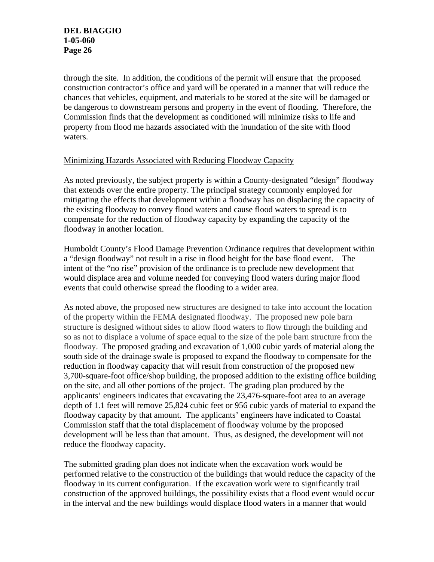through the site. In addition, the conditions of the permit will ensure that the proposed construction contractor's office and yard will be operated in a manner that will reduce the chances that vehicles, equipment, and materials to be stored at the site will be damaged or be dangerous to downstream persons and property in the event of flooding. Therefore, the Commission finds that the development as conditioned will minimize risks to life and property from flood me hazards associated with the inundation of the site with flood waters.

#### Minimizing Hazards Associated with Reducing Floodway Capacity

As noted previously, the subject property is within a County-designated "design" floodway that extends over the entire property. The principal strategy commonly employed for mitigating the effects that development within a floodway has on displacing the capacity of the existing floodway to convey flood waters and cause flood waters to spread is to compensate for the reduction of floodway capacity by expanding the capacity of the floodway in another location.

Humboldt County's Flood Damage Prevention Ordinance requires that development within a "design floodway" not result in a rise in flood height for the base flood event. The intent of the "no rise" provision of the ordinance is to preclude new development that would displace area and volume needed for conveying flood waters during major flood events that could otherwise spread the flooding to a wider area.

As noted above, the proposed new structures are designed to take into account the location of the property within the FEMA designated floodway. The proposed new pole barn structure is designed without sides to allow flood waters to flow through the building and so as not to displace a volume of space equal to the size of the pole barn structure from the floodway. The proposed grading and excavation of 1,000 cubic yards of material along the south side of the drainage swale is proposed to expand the floodway to compensate for the reduction in floodway capacity that will result from construction of the proposed new 3,700-square-foot office/shop building, the proposed addition to the existing office building on the site, and all other portions of the project. The grading plan produced by the applicants' engineers indicates that excavating the 23,476-square-foot area to an average depth of 1.1 feet will remove 25,824 cubic feet or 956 cubic yards of material to expand the floodway capacity by that amount. The applicants' engineers have indicated to Coastal Commission staff that the total displacement of floodway volume by the proposed development will be less than that amount. Thus, as designed, the development will not reduce the floodway capacity.

The submitted grading plan does not indicate when the excavation work would be performed relative to the construction of the buildings that would reduce the capacity of the floodway in its current configuration. If the excavation work were to significantly trail construction of the approved buildings, the possibility exists that a flood event would occur in the interval and the new buildings would displace flood waters in a manner that would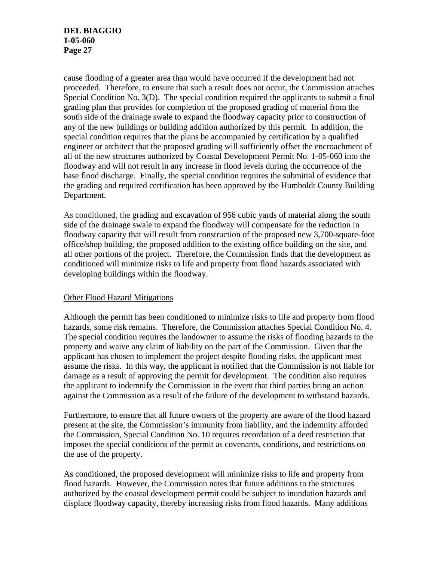cause flooding of a greater area than would have occurred if the development had not proceeded. Therefore, to ensure that such a result does not occur, the Commission attaches Special Condition No. 3(D). The special condition required the applicants to submit a final grading plan that provides for completion of the proposed grading of material from the south side of the drainage swale to expand the floodway capacity prior to construction of any of the new buildings or building addition authorized by this permit. In addition, the special condition requires that the plans be accompanied by certification by a qualified engineer or architect that the proposed grading will sufficiently offset the encroachment of all of the new structures authorized by Coastal Development Permit No. 1-05-060 into the floodway and will not result in any increase in flood levels during the occurrence of the base flood discharge. Finally, the special condition requires the submittal of evidence that the grading and required certification has been approved by the Humboldt County Building Department.

As conditioned, the grading and excavation of 956 cubic yards of material along the south side of the drainage swale to expand the floodway will compensate for the reduction in floodway capacity that will result from construction of the proposed new 3,700-square-foot office/shop building, the proposed addition to the existing office building on the site, and all other portions of the project. Therefore, the Commission finds that the development as conditioned will minimize risks to life and property from flood hazards associated with developing buildings within the floodway.

#### Other Flood Hazard Mitigations

Although the permit has been conditioned to minimize risks to life and property from flood hazards, some risk remains. Therefore, the Commission attaches Special Condition No. 4. The special condition requires the landowner to assume the risks of flooding hazards to the property and waive any claim of liability on the part of the Commission. Given that the applicant has chosen to implement the project despite flooding risks, the applicant must assume the risks. In this way, the applicant is notified that the Commission is not liable for damage as a result of approving the permit for development. The condition also requires the applicant to indemnify the Commission in the event that third parties bring an action against the Commission as a result of the failure of the development to withstand hazards.

Furthermore, to ensure that all future owners of the property are aware of the flood hazard present at the site, the Commission's immunity from liability, and the indemnity afforded the Commission, Special Condition No. 10 requires recordation of a deed restriction that imposes the special conditions of the permit as covenants, conditions, and restrictions on the use of the property.

As conditioned, the proposed development will minimize risks to life and property from flood hazards. However, the Commission notes that future additions to the structures authorized by the coastal development permit could be subject to inundation hazards and displace floodway capacity, thereby increasing risks from flood hazards. Many additions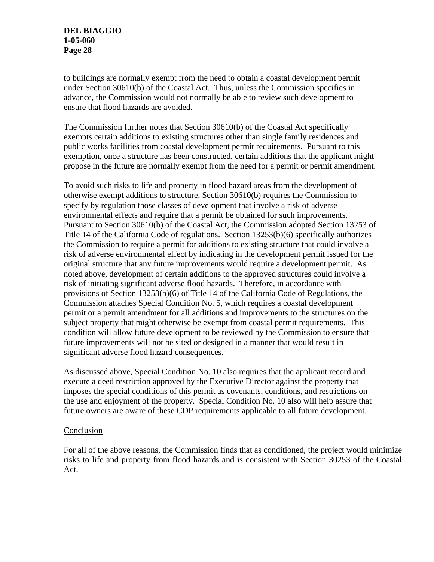to buildings are normally exempt from the need to obtain a coastal development permit under Section 30610(b) of the Coastal Act. Thus, unless the Commission specifies in advance, the Commission would not normally be able to review such development to ensure that flood hazards are avoided.

The Commission further notes that Section 30610(b) of the Coastal Act specifically exempts certain additions to existing structures other than single family residences and public works facilities from coastal development permit requirements. Pursuant to this exemption, once a structure has been constructed, certain additions that the applicant might propose in the future are normally exempt from the need for a permit or permit amendment.

To avoid such risks to life and property in flood hazard areas from the development of otherwise exempt additions to structure, Section 30610(b) requires the Commission to specify by regulation those classes of development that involve a risk of adverse environmental effects and require that a permit be obtained for such improvements. Pursuant to Section 30610(b) of the Coastal Act, the Commission adopted Section 13253 of Title 14 of the California Code of regulations. Section 13253(b)(6) specifically authorizes the Commission to require a permit for additions to existing structure that could involve a risk of adverse environmental effect by indicating in the development permit issued for the original structure that any future improvements would require a development permit. As noted above, development of certain additions to the approved structures could involve a risk of initiating significant adverse flood hazards. Therefore, in accordance with provisions of Section 13253(b)(6) of Title 14 of the California Code of Regulations, the Commission attaches Special Condition No. 5, which requires a coastal development permit or a permit amendment for all additions and improvements to the structures on the subject property that might otherwise be exempt from coastal permit requirements. This condition will allow future development to be reviewed by the Commission to ensure that future improvements will not be sited or designed in a manner that would result in significant adverse flood hazard consequences.

As discussed above, Special Condition No. 10 also requires that the applicant record and execute a deed restriction approved by the Executive Director against the property that imposes the special conditions of this permit as covenants, conditions, and restrictions on the use and enjoyment of the property. Special Condition No. 10 also will help assure that future owners are aware of these CDP requirements applicable to all future development.

#### Conclusion

For all of the above reasons, the Commission finds that as conditioned, the project would minimize risks to life and property from flood hazards and is consistent with Section 30253 of the Coastal Act.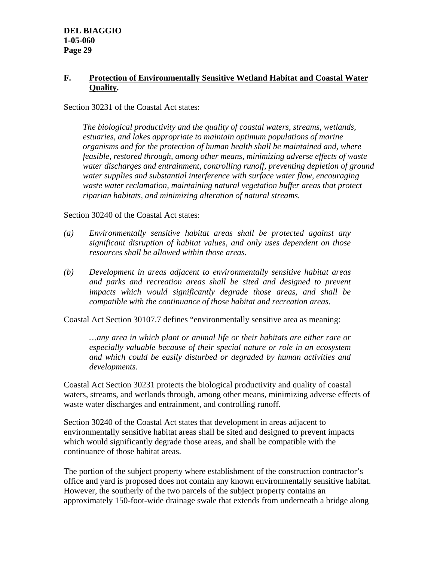### **F. Protection of Environmentally Sensitive Wetland Habitat and Coastal Water Quality.**

Section 30231 of the Coastal Act states:

*The biological productivity and the quality of coastal waters, streams, wetlands, estuaries, and lakes appropriate to maintain optimum populations of marine organisms and for the protection of human health shall be maintained and, where feasible, restored through, among other means, minimizing adverse effects of waste water discharges and entrainment, controlling runoff, preventing depletion of ground water supplies and substantial interference with surface water flow, encouraging waste water reclamation, maintaining natural vegetation buffer areas that protect riparian habitats, and minimizing alteration of natural streams.* 

Section 30240 of the Coastal Act states:

- *(a) Environmentally sensitive habitat areas shall be protected against any significant disruption of habitat values, and only uses dependent on those resources shall be allowed within those areas.*
- *(b) Development in areas adjacent to environmentally sensitive habitat areas and parks and recreation areas shall be sited and designed to prevent impacts which would significantly degrade those areas, and shall be compatible with the continuance of those habitat and recreation areas.*

Coastal Act Section 30107.7 defines "environmentally sensitive area as meaning:

*…any area in which plant or animal life or their habitats are either rare or especially valuable because of their special nature or role in an ecosystem and which could be easily disturbed or degraded by human activities and developments.* 

Coastal Act Section 30231 protects the biological productivity and quality of coastal waters, streams, and wetlands through, among other means, minimizing adverse effects of waste water discharges and entrainment, and controlling runoff.

Section 30240 of the Coastal Act states that development in areas adjacent to environmentally sensitive habitat areas shall be sited and designed to prevent impacts which would significantly degrade those areas, and shall be compatible with the continuance of those habitat areas.

The portion of the subject property where establishment of the construction contractor's office and yard is proposed does not contain any known environmentally sensitive habitat. However, the southerly of the two parcels of the subject property contains an approximately 150-foot-wide drainage swale that extends from underneath a bridge along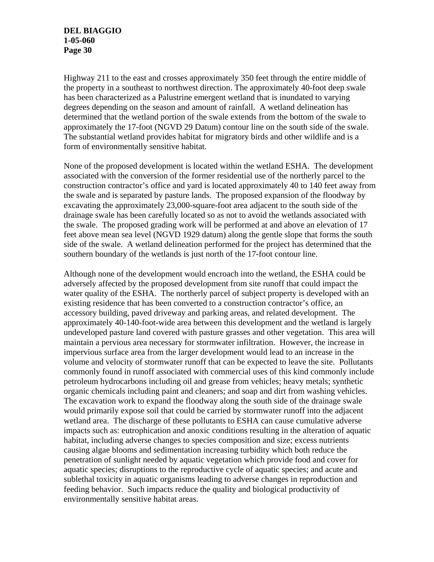Highway 211 to the east and crosses approximately 350 feet through the entire middle of the property in a southeast to northwest direction. The approximately 40-foot deep swale has been characterized as a Palustrine emergent wetland that is inundated to varying degrees depending on the season and amount of rainfall. A wetland delineation has determined that the wetland portion of the swale extends from the bottom of the swale to approximately the 17-foot (NGVD 29 Datum) contour line on the south side of the swale. The substantial wetland provides habitat for migratory birds and other wildlife and is a form of environmentally sensitive habitat.

None of the proposed development is located within the wetland ESHA. The development associated with the conversion of the former residential use of the northerly parcel to the construction contractor's office and yard is located approximately 40 to 140 feet away from the swale and is separated by pasture lands. The proposed expansion of the floodway by excavating the approximately 23,000-square-foot area adjacent to the south side of the drainage swale has been carefully located so as not to avoid the wetlands associated with the swale. The proposed grading work will be performed at and above an elevation of 17 feet above mean sea level (NGVD 1929 datum) along the gentle slope that forms the south side of the swale. A wetland delineation performed for the project has determined that the southern boundary of the wetlands is just north of the 17-foot contour line.

Although none of the development would encroach into the wetland, the ESHA could be adversely affected by the proposed development from site runoff that could impact the water quality of the ESHA. The northerly parcel of subject property is developed with an existing residence that has been converted to a construction contractor's office, an accessory building, paved driveway and parking areas, and related development. The approximately 40-140-foot-wide area between this development and the wetland is largely undeveloped pasture land covered with pasture grasses and other vegetation. This area will maintain a pervious area necessary for stormwater infiltration. However, the increase in impervious surface area from the larger development would lead to an increase in the volume and velocity of stormwater runoff that can be expected to leave the site. Pollutants commonly found in runoff associated with commercial uses of this kind commonly include petroleum hydrocarbons including oil and grease from vehicles; heavy metals; synthetic organic chemicals including paint and cleaners; and soap and dirt from washing vehicles. The excavation work to expand the floodway along the south side of the drainage swale would primarily expose soil that could be carried by stormwater runoff into the adjacent wetland area. The discharge of these pollutants to ESHA can cause cumulative adverse impacts such as: eutrophication and anoxic conditions resulting in the alteration of aquatic habitat, including adverse changes to species composition and size; excess nutrients causing algae blooms and sedimentation increasing turbidity which both reduce the penetration of sunlight needed by aquatic vegetation which provide food and cover for aquatic species; disruptions to the reproductive cycle of aquatic species; and acute and sublethal toxicity in aquatic organisms leading to adverse changes in reproduction and feeding behavior. Such impacts reduce the quality and biological productivity of environmentally sensitive habitat areas.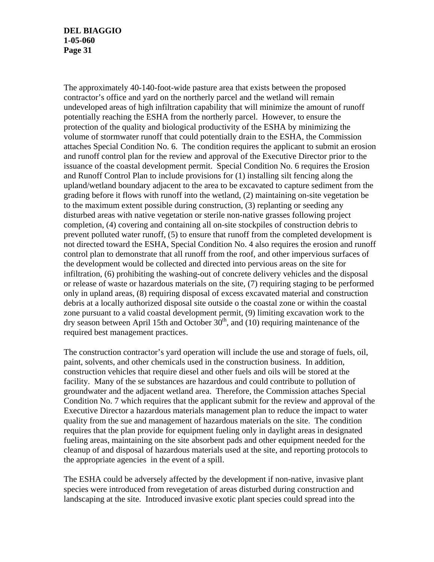The approximately 40-140-foot-wide pasture area that exists between the proposed contractor's office and yard on the northerly parcel and the wetland will remain undeveloped areas of high infiltration capability that will minimize the amount of runoff potentially reaching the ESHA from the northerly parcel. However, to ensure the protection of the quality and biological productivity of the ESHA by minimizing the volume of stormwater runoff that could potentially drain to the ESHA, the Commission attaches Special Condition No. 6. The condition requires the applicant to submit an erosion and runoff control plan for the review and approval of the Executive Director prior to the issuance of the coastal development permit. Special Condition No. 6 requires the Erosion and Runoff Control Plan to include provisions for (1) installing silt fencing along the upland/wetland boundary adjacent to the area to be excavated to capture sediment from the grading before it flows with runoff into the wetland, (2) maintaining on-site vegetation be to the maximum extent possible during construction, (3) replanting or seeding any disturbed areas with native vegetation or sterile non-native grasses following project completion, (4) covering and containing all on-site stockpiles of construction debris to prevent polluted water runoff, (5) to ensure that runoff from the completed development is not directed toward the ESHA, Special Condition No. 4 also requires the erosion and runoff control plan to demonstrate that all runoff from the roof, and other impervious surfaces of the development would be collected and directed into pervious areas on the site for infiltration, (6) prohibiting the washing-out of concrete delivery vehicles and the disposal or release of waste or hazardous materials on the site, (7) requiring staging to be performed only in upland areas, (8) requiring disposal of excess excavated material and construction debris at a locally authorized disposal site outside o the coastal zone or within the coastal zone pursuant to a valid coastal development permit, (9) limiting excavation work to the dry season between April 15th and October  $30<sup>th</sup>$ , and (10) requiring maintenance of the required best management practices.

The construction contractor's yard operation will include the use and storage of fuels, oil, paint, solvents, and other chemicals used in the construction business. In addition, construction vehicles that require diesel and other fuels and oils will be stored at the facility. Many of the se substances are hazardous and could contribute to pollution of groundwater and the adjacent wetland area. Therefore, the Commission attaches Special Condition No. 7 which requires that the applicant submit for the review and approval of the Executive Director a hazardous materials management plan to reduce the impact to water quality from the sue and management of hazardous materials on the site. The condition requires that the plan provide for equipment fueling only in daylight areas in designated fueling areas, maintaining on the site absorbent pads and other equipment needed for the cleanup of and disposal of hazardous materials used at the site, and reporting protocols to the appropriate agencies in the event of a spill.

The ESHA could be adversely affected by the development if non-native, invasive plant species were introduced from revegetation of areas disturbed during construction and landscaping at the site. Introduced invasive exotic plant species could spread into the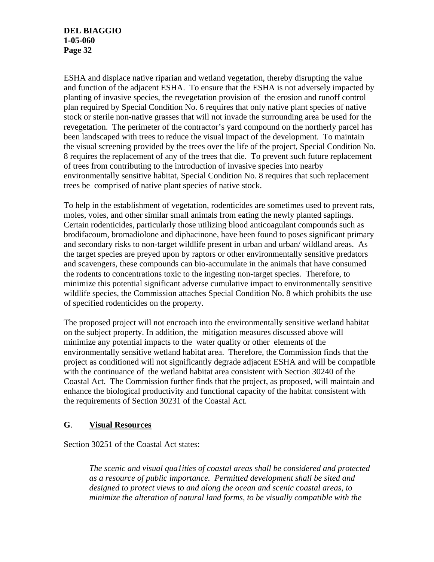ESHA and displace native riparian and wetland vegetation, thereby disrupting the value and function of the adjacent ESHA. To ensure that the ESHA is not adversely impacted by planting of invasive species, the revegetation provision of the erosion and runoff control plan required by Special Condition No. 6 requires that only native plant species of native stock or sterile non-native grasses that will not invade the surrounding area be used for the revegetation. The perimeter of the contractor's yard compound on the northerly parcel has been landscaped with trees to reduce the visual impact of the development. To maintain the visual screening provided by the trees over the life of the project, Special Condition No. 8 requires the replacement of any of the trees that die. To prevent such future replacement of trees from contributing to the introduction of invasive species into nearby environmentally sensitive habitat, Special Condition No. 8 requires that such replacement trees be comprised of native plant species of native stock.

To help in the establishment of vegetation, rodenticides are sometimes used to prevent rats, moles, voles, and other similar small animals from eating the newly planted saplings. Certain rodenticides, particularly those utilizing blood anticoagulant compounds such as brodifacoum, bromadiolone and diphacinone, have been found to poses significant primary and secondary risks to non-target wildlife present in urban and urban/ wildland areas. As the target species are preyed upon by raptors or other environmentally sensitive predators and scavengers, these compounds can bio-accumulate in the animals that have consumed the rodents to concentrations toxic to the ingesting non-target species. Therefore, to minimize this potential significant adverse cumulative impact to environmentally sensitive wildlife species, the Commission attaches Special Condition No. 8 which prohibits the use of specified rodenticides on the property.

The proposed project will not encroach into the environmentally sensitive wetland habitat on the subject property. In addition, the mitigation measures discussed above will minimize any potential impacts to the water quality or other elements of the environmentally sensitive wetland habitat area. Therefore, the Commission finds that the project as conditioned will not significantly degrade adjacent ESHA and will be compatible with the continuance of the wetland habitat area consistent with Section 30240 of the Coastal Act. The Commission further finds that the project, as proposed, will maintain and enhance the biological productivity and functional capacity of the habitat consistent with the requirements of Section 30231 of the Coastal Act.

## **G**. **Visual Resources**

Section 30251 of the Coastal Act states:

*The scenic and visual qua1ities of coastal areas shall be considered and protected as a resource of public importance. Permitted development shall be sited and designed to protect views to and along the ocean and scenic coastal areas, to minimize the alteration of natural land forms, to be visually compatible with the*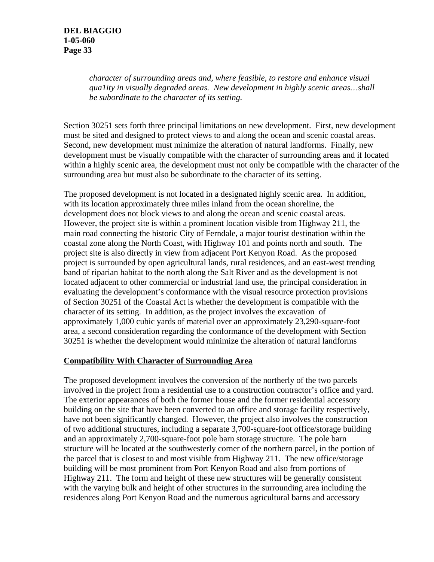*character of surrounding areas and, where feasible, to restore and enhance visual qua1ity in visually degraded areas. New development in highly scenic areas…shall be subordinate to the character of its setting.* 

Section 30251 sets forth three principal limitations on new development. First, new development must be sited and designed to protect views to and along the ocean and scenic coastal areas. Second, new development must minimize the alteration of natural landforms. Finally, new development must be visually compatible with the character of surrounding areas and if located within a highly scenic area, the development must not only be compatible with the character of the surrounding area but must also be subordinate to the character of its setting.

The proposed development is not located in a designated highly scenic area. In addition, with its location approximately three miles inland from the ocean shoreline, the development does not block views to and along the ocean and scenic coastal areas. However, the project site is within a prominent location visible from Highway 211, the main road connecting the historic City of Ferndale, a major tourist destination within the coastal zone along the North Coast, with Highway 101 and points north and south. The project site is also directly in view from adjacent Port Kenyon Road. As the proposed project is surrounded by open agricultural lands, rural residences, and an east-west trending band of riparian habitat to the north along the Salt River and as the development is not located adjacent to other commercial or industrial land use, the principal consideration in evaluating the development's conformance with the visual resource protection provisions of Section 30251 of the Coastal Act is whether the development is compatible with the character of its setting. In addition, as the project involves the excavation of approximately 1,000 cubic yards of material over an approximately 23,290-square-foot area, a second consideration regarding the conformance of the development with Section 30251 is whether the development would minimize the alteration of natural landforms

#### **Compatibility With Character of Surrounding Area**

The proposed development involves the conversion of the northerly of the two parcels involved in the project from a residential use to a construction contractor's office and yard. The exterior appearances of both the former house and the former residential accessory building on the site that have been converted to an office and storage facility respectively, have not been significantly changed. However, the project also involves the construction of two additional structures, including a separate 3,700-square-foot office/storage building and an approximately 2,700-square-foot pole barn storage structure. The pole barn structure will be located at the southwesterly corner of the northern parcel, in the portion of the parcel that is closest to and most visible from Highway 211. The new office/storage building will be most prominent from Port Kenyon Road and also from portions of Highway 211. The form and height of these new structures will be generally consistent with the varying bulk and height of other structures in the surrounding area including the residences along Port Kenyon Road and the numerous agricultural barns and accessory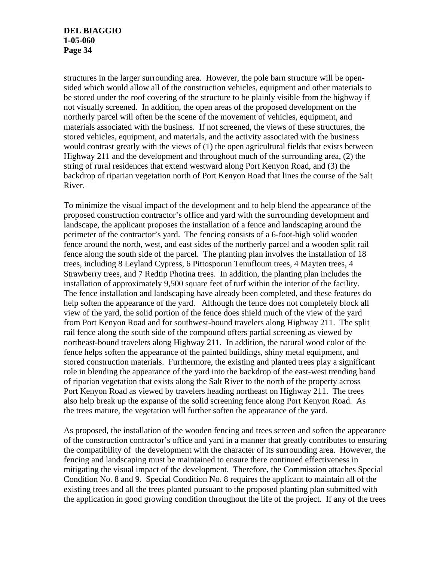structures in the larger surrounding area. However, the pole barn structure will be opensided which would allow all of the construction vehicles, equipment and other materials to be stored under the roof covering of the structure to be plainly visible from the highway if not visually screened. In addition, the open areas of the proposed development on the northerly parcel will often be the scene of the movement of vehicles, equipment, and materials associated with the business. If not screened, the views of these structures, the stored vehicles, equipment, and materials, and the activity associated with the business would contrast greatly with the views of (1) the open agricultural fields that exists between Highway 211 and the development and throughout much of the surrounding area, (2) the string of rural residences that extend westward along Port Kenyon Road, and (3) the backdrop of riparian vegetation north of Port Kenyon Road that lines the course of the Salt River.

To minimize the visual impact of the development and to help blend the appearance of the proposed construction contractor's office and yard with the surrounding development and landscape, the applicant proposes the installation of a fence and landscaping around the perimeter of the contractor's yard. The fencing consists of a 6-foot-high solid wooden fence around the north, west, and east sides of the northerly parcel and a wooden split rail fence along the south side of the parcel. The planting plan involves the installation of 18 trees, including 8 Leyland Cypress, 6 Pittosporun Tenufloum trees, 4 Mayten trees, 4 Strawberry trees, and 7 Redtip Photina trees. In addition, the planting plan includes the installation of approximately 9,500 square feet of turf within the interior of the facility. The fence installation and landscaping have already been completed, and these features do help soften the appearance of the yard. Although the fence does not completely block all view of the yard, the solid portion of the fence does shield much of the view of the yard from Port Kenyon Road and for southwest-bound travelers along Highway 211. The split rail fence along the south side of the compound offers partial screening as viewed by northeast-bound travelers along Highway 211. In addition, the natural wood color of the fence helps soften the appearance of the painted buildings, shiny metal equipment, and stored construction materials. Furthermore, the existing and planted trees play a significant role in blending the appearance of the yard into the backdrop of the east-west trending band of riparian vegetation that exists along the Salt River to the north of the property across Port Kenyon Road as viewed by travelers heading northeast on Highway 211. The trees also help break up the expanse of the solid screening fence along Port Kenyon Road. As the trees mature, the vegetation will further soften the appearance of the yard.

As proposed, the installation of the wooden fencing and trees screen and soften the appearance of the construction contractor's office and yard in a manner that greatly contributes to ensuring the compatibility of the development with the character of its surrounding area. However, the fencing and landscaping must be maintained to ensure there continued effectiveness in mitigating the visual impact of the development. Therefore, the Commission attaches Special Condition No. 8 and 9. Special Condition No. 8 requires the applicant to maintain all of the existing trees and all the trees planted pursuant to the proposed planting plan submitted with the application in good growing condition throughout the life of the project. If any of the trees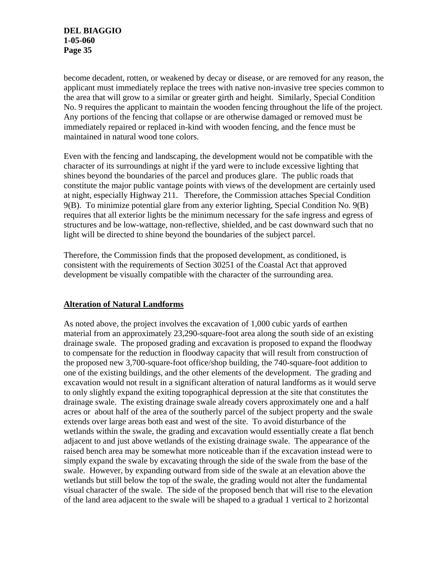become decadent, rotten, or weakened by decay or disease, or are removed for any reason, the applicant must immediately replace the trees with native non-invasive tree species common to the area that will grow to a similar or greater girth and height. Similarly, Special Condition No. 9 requires the applicant to maintain the wooden fencing throughout the life of the project. Any portions of the fencing that collapse or are otherwise damaged or removed must be immediately repaired or replaced in-kind with wooden fencing, and the fence must be maintained in natural wood tone colors.

Even with the fencing and landscaping, the development would not be compatible with the character of its surroundings at night if the yard were to include excessive lighting that shines beyond the boundaries of the parcel and produces glare. The public roads that constitute the major public vantage points with views of the development are certainly used at night, especially Highway 211. Therefore, the Commission attaches Special Condition 9(B). To minimize potential glare from any exterior lighting, Special Condition No. 9(B) requires that all exterior lights be the minimum necessary for the safe ingress and egress of structures and be low-wattage, non-reflective, shielded, and be cast downward such that no light will be directed to shine beyond the boundaries of the subject parcel.

Therefore, the Commission finds that the proposed development, as conditioned, is consistent with the requirements of Section 30251 of the Coastal Act that approved development be visually compatible with the character of the surrounding area.

## **Alteration of Natural Landforms**

As noted above, the project involves the excavation of 1,000 cubic yards of earthen material from an approximately 23,290-square-foot area along the south side of an existing drainage swale. The proposed grading and excavation is proposed to expand the floodway to compensate for the reduction in floodway capacity that will result from construction of the proposed new 3,700-square-foot office/shop building, the 740-square-foot addition to one of the existing buildings, and the other elements of the development. The grading and excavation would not result in a significant alteration of natural landforms as it would serve to only slightly expand the exiting topographical depression at the site that constitutes the drainage swale. The existing drainage swale already covers approximately one and a half acres or about half of the area of the southerly parcel of the subject property and the swale extends over large areas both east and west of the site. To avoid disturbance of the wetlands within the swale, the grading and excavation would essentially create a flat bench adjacent to and just above wetlands of the existing drainage swale. The appearance of the raised bench area may be somewhat more noticeable than if the excavation instead were to simply expand the swale by excavating through the side of the swale from the base of the swale. However, by expanding outward from side of the swale at an elevation above the wetlands but still below the top of the swale, the grading would not alter the fundamental visual character of the swale. The side of the proposed bench that will rise to the elevation of the land area adjacent to the swale will be shaped to a gradual 1 vertical to 2 horizontal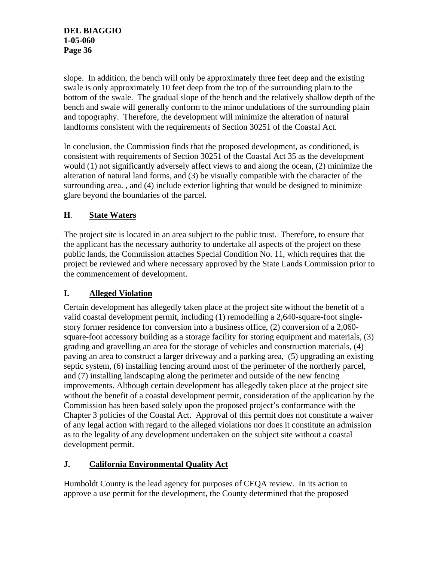slope. In addition, the bench will only be approximately three feet deep and the existing swale is only approximately 10 feet deep from the top of the surrounding plain to the bottom of the swale. The gradual slope of the bench and the relatively shallow depth of the bench and swale will generally conform to the minor undulations of the surrounding plain and topography. Therefore, the development will minimize the alteration of natural landforms consistent with the requirements of Section 30251 of the Coastal Act.

In conclusion, the Commission finds that the proposed development, as conditioned, is consistent with requirements of Section 30251 of the Coastal Act 35 as the development would (1) not significantly adversely affect views to and along the ocean, (2) minimize the alteration of natural land forms, and (3) be visually compatible with the character of the surrounding area. , and (4) include exterior lighting that would be designed to minimize glare beyond the boundaries of the parcel.

## **H***.* **State Waters**

The project site is located in an area subject to the public trust. Therefore, to ensure that the applicant has the necessary authority to undertake all aspects of the project on these public lands, the Commission attaches Special Condition No. 11, which requires that the project be reviewed and where necessary approved by the State Lands Commission prior to the commencement of development.

## **I. Alleged Violation**

Certain development has allegedly taken place at the project site without the benefit of a valid coastal development permit, including (1) remodelling a 2,640-square-foot singlestory former residence for conversion into a business office, (2) conversion of a 2,060 square-foot accessory building as a storage facility for storing equipment and materials, (3) grading and gravelling an area for the storage of vehicles and construction materials, (4) paving an area to construct a larger driveway and a parking area, (5) upgrading an existing septic system, (6) installing fencing around most of the perimeter of the northerly parcel, and (7) installing landscaping along the perimeter and outside of the new fencing improvements. Although certain development has allegedly taken place at the project site without the benefit of a coastal development permit, consideration of the application by the Commission has been based solely upon the proposed project's conformance with the Chapter 3 policies of the Coastal Act. Approval of this permit does not constitute a waiver of any legal action with regard to the alleged violations nor does it constitute an admission as to the legality of any development undertaken on the subject site without a coastal development permit.

## **J. California Environmental Quality Act**

Humboldt County is the lead agency for purposes of CEQA review. In its action to approve a use permit for the development, the County determined that the proposed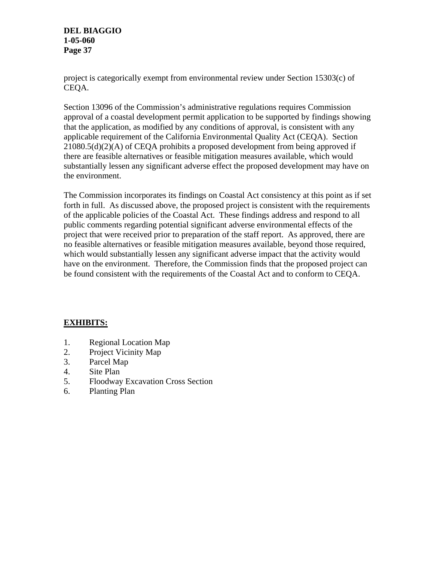project is categorically exempt from environmental review under Section 15303(c) of CEQA.

Section 13096 of the Commission's administrative regulations requires Commission approval of a coastal development permit application to be supported by findings showing that the application, as modified by any conditions of approval, is consistent with any applicable requirement of the California Environmental Quality Act (CEQA). Section  $21080.5(d)(2)(A)$  of CEOA prohibits a proposed development from being approved if there are feasible alternatives or feasible mitigation measures available, which would substantially lessen any significant adverse effect the proposed development may have on the environment.

The Commission incorporates its findings on Coastal Act consistency at this point as if set forth in full. As discussed above, the proposed project is consistent with the requirements of the applicable policies of the Coastal Act. These findings address and respond to all public comments regarding potential significant adverse environmental effects of the project that were received prior to preparation of the staff report. As approved, there are no feasible alternatives or feasible mitigation measures available, beyond those required, which would substantially lessen any significant adverse impact that the activity would have on the environment. Therefore, the Commission finds that the proposed project can be found consistent with the requirements of the Coastal Act and to conform to CEQA.

## **EXHIBITS:**

- 1. Regional Location Map
- 2. Project Vicinity Map
- 3. Parcel Map
- 4. Site Plan
- 5. Floodway Excavation Cross Section
- 6. Planting Plan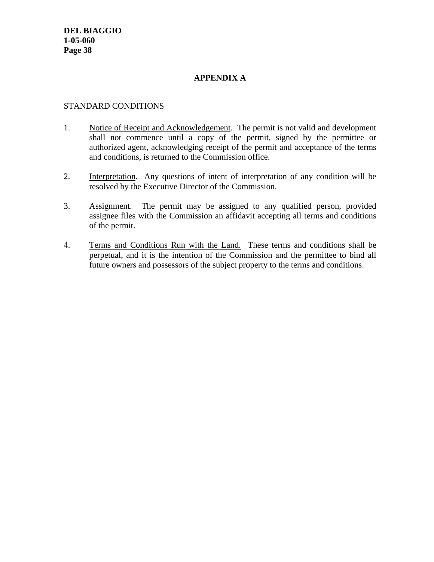## **APPENDIX A**

#### STANDARD CONDITIONS

- 1. Notice of Receipt and Acknowledgement. The permit is not valid and development shall not commence until a copy of the permit, signed by the permittee or authorized agent, acknowledging receipt of the permit and acceptance of the terms and conditions, is returned to the Commission office.
- 2. Interpretation. Any questions of intent of interpretation of any condition will be resolved by the Executive Director of the Commission.
- 3. Assignment. The permit may be assigned to any qualified person, provided assignee files with the Commission an affidavit accepting all terms and conditions of the permit.
- 4. Terms and Conditions Run with the Land. These terms and conditions shall be perpetual, and it is the intention of the Commission and the permittee to bind all future owners and possessors of the subject property to the terms and conditions.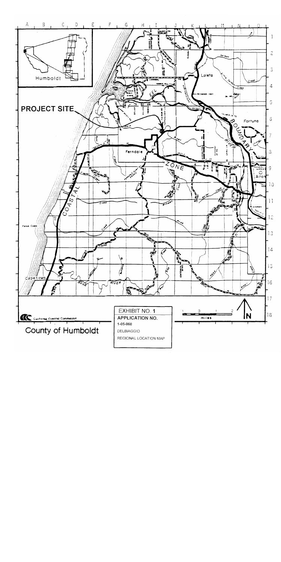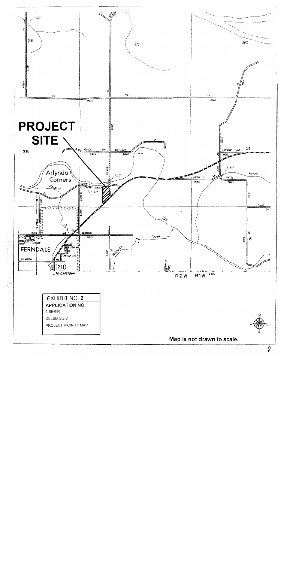

 $\mathcal{P}$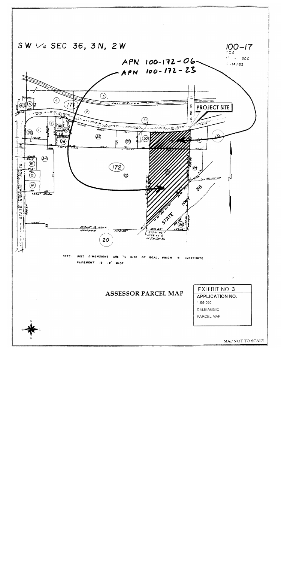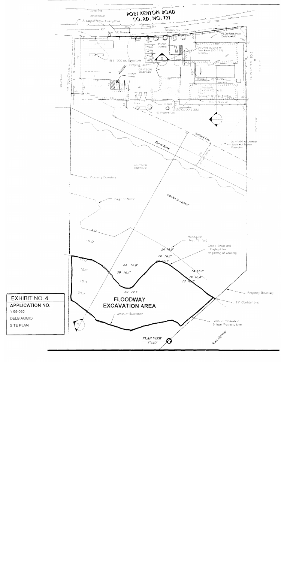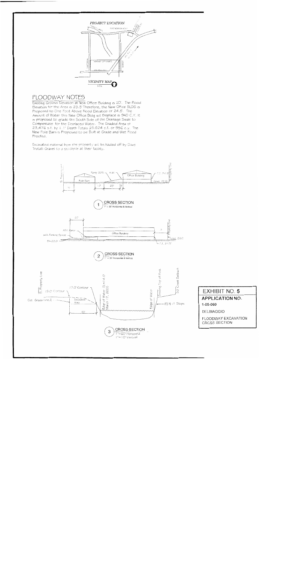

#### FLOODWAY NOTES

Existing Ground Elevation at New Office Building is 20'. The Flood Elevation for the Area is 23.5' Therefore, the New Office BLDG is Proposed to One Foot Above Flood Elevation or 24.5'. The Amount of Water this New Office Bldg will Displace is 940 C.Y. It is proposed to grade the South Side of the Dramage Swale to Compensate for the Displaced Water. The Graded Area of 23,476 s.f. by 1.1' Depth Totais 25,824 c.f. or 956 c.y. The New Pole Barn is Proposed to be Built at Grade and Wet Flood Proofed.

Excavated material from the property will be hauled off by Dave Trutalli Gravei to a stockpile at their facility.